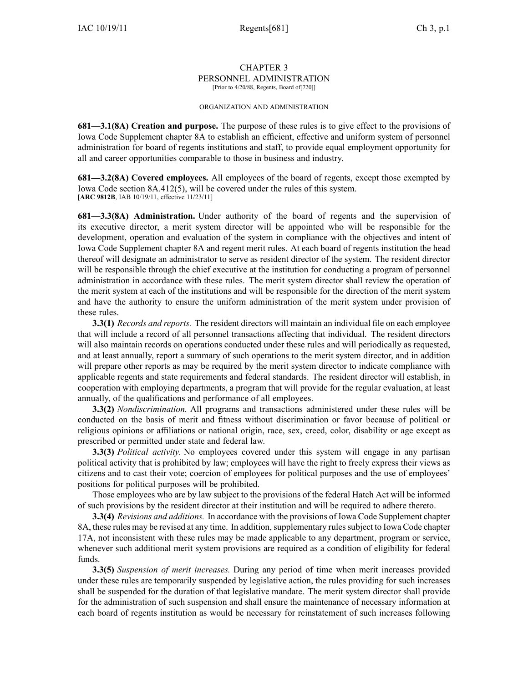#### CHAPTER 3 PERSONNEL ADMINISTRATION [Prior to 4/20/88, Regents, Board of[720]]

#### ORGANIZATION AND ADMINISTRATION

**681—3.1(8A) Creation and purpose.** The purpose of these rules is to give effect to the provisions of Iowa Code Supplement chapter 8A to establish an efficient, effective and uniform system of personnel administration for board of regents institutions and staff, to provide equal employment opportunity for all and career opportunities comparable to those in business and industry.

**681—3.2(8A) Covered employees.** All employees of the board of regents, excep<sup>t</sup> those exempted by Iowa Code section 8A.412(5), will be covered under the rules of this system. [**ARC 9812B**, IAB 10/19/11, effective 11/23/11]

**681—3.3(8A) Administration.** Under authority of the board of regents and the supervision of its executive director, <sup>a</sup> merit system director will be appointed who will be responsible for the development, operation and evaluation of the system in compliance with the objectives and intent of Iowa Code Supplement chapter 8A and regen<sup>t</sup> merit rules. At each board of regents institution the head thereof will designate an administrator to serve as resident director of the system. The resident director will be responsible through the chief executive at the institution for conducting <sup>a</sup> program of personnel administration in accordance with these rules. The merit system director shall review the operation of the merit system at each of the institutions and will be responsible for the direction of the merit system and have the authority to ensure the uniform administration of the merit system under provision of these rules.

**3.3(1)** *Records and reports.* The resident directors will maintain an individual file on each employee that will include <sup>a</sup> record of all personnel transactions affecting that individual. The resident directors will also maintain records on operations conducted under these rules and will periodically as requested, and at least annually, repor<sup>t</sup> <sup>a</sup> summary of such operations to the merit system director, and in addition will prepare other reports as may be required by the merit system director to indicate compliance with applicable regents and state requirements and federal standards. The resident director will establish, in cooperation with employing departments, <sup>a</sup> program that will provide for the regular evaluation, at least annually, of the qualifications and performance of all employees.

**3.3(2)** *Nondiscrimination.* All programs and transactions administered under these rules will be conducted on the basis of merit and fitness without discrimination or favor because of political or religious opinions or affiliations or national origin, race, sex, creed, color, disability or age excep<sup>t</sup> as prescribed or permitted under state and federal law.

**3.3(3)** *Political activity.* No employees covered under this system will engage in any partisan political activity that is prohibited by law; employees will have the right to freely express their views as citizens and to cast their vote; coercion of employees for political purposes and the use of employees' positions for political purposes will be prohibited.

Those employees who are by law subject to the provisions of the federal Hatch Act will be informed of such provisions by the resident director at their institution and will be required to adhere thereto.

**3.3(4)** *Revisions and additions.* In accordance with the provisions of Iowa Code Supplement chapter 8A, these rules may be revised at any time. In addition, supplementary rules subject to Iowa Code chapter 17A, not inconsistent with these rules may be made applicable to any department, program or service, whenever such additional merit system provisions are required as <sup>a</sup> condition of eligibility for federal funds.

**3.3(5)** *Suspension of merit increases.* During any period of time when merit increases provided under these rules are temporarily suspended by legislative action, the rules providing for such increases shall be suspended for the duration of that legislative mandate. The merit system director shall provide for the administration of such suspension and shall ensure the maintenance of necessary information at each board of regents institution as would be necessary for reinstatement of such increases following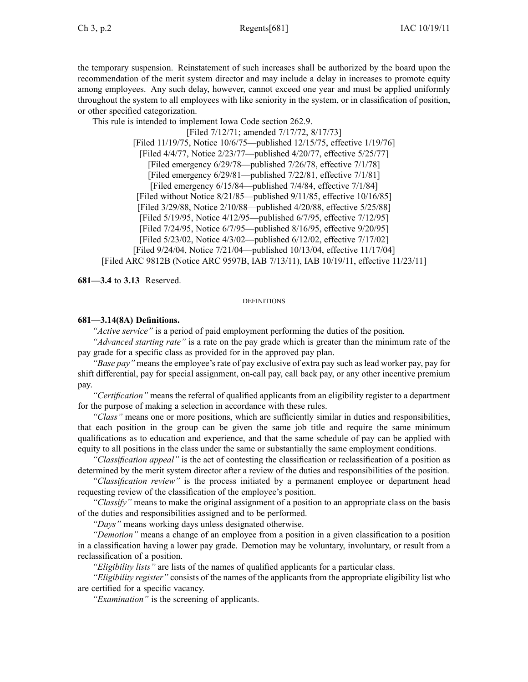the temporary suspension. Reinstatement of such increases shall be authorized by the board upon the recommendation of the merit system director and may include <sup>a</sup> delay in increases to promote equity among employees. Any such delay, however, cannot exceed one year and must be applied uniformly throughout the system to all employees with like seniority in the system, or in classification of position, or other specified categorization.

This rule is intended to implement Iowa Code section 262.9.

[Filed 7/12/71; amended 7/17/72, 8/17/73] [Filed 11/19/75, Notice 10/6/75—published 12/15/75, effective 1/19/76] [Filed 4/4/77, Notice 2/23/77—published 4/20/77, effective 5/25/77] [Filed emergency 6/29/78—published 7/26/78, effective 7/1/78] [Filed emergency 6/29/81—published 7/22/81, effective 7/1/81] [Filed emergency 6/15/84—published 7/4/84, effective 7/1/84] [Filed without Notice 8/21/85—published 9/11/85, effective 10/16/85] [Filed 3/29/88, Notice 2/10/88—published 4/20/88, effective 5/25/88] [Filed 5/19/95, Notice 4/12/95—published 6/7/95, effective 7/12/95] [Filed 7/24/95, Notice 6/7/95—published 8/16/95, effective 9/20/95] [Filed 5/23/02, Notice 4/3/02—published 6/12/02, effective 7/17/02] [Filed 9/24/04, Notice 7/21/04—published 10/13/04, effective 11/17/04] [Filed ARC 9812B (Notice ARC 9597B, IAB 7/13/11), IAB 10/19/11, effective 11/23/11]

**681—3.4** to **3.13** Reserved.

### **DEFINITIONS**

# **681—3.14(8A) Definitions.**

*"Active service"* is <sup>a</sup> period of paid employment performing the duties of the position.

*"Advanced starting rate"* is <sup>a</sup> rate on the pay grade which is greater than the minimum rate of the pay grade for <sup>a</sup> specific class as provided for in the approved pay plan.

*"Base pay"* means the employee's rate of pay exclusive of extra pay such as lead worker pay, pay for shift differential, pay for special assignment, on-call pay, call back pay, or any other incentive premium pay.

*"Certification"* means the referral of qualified applicants from an eligibility register to <sup>a</sup> department for the purpose of making <sup>a</sup> selection in accordance with these rules.

*"Class"* means one or more positions, which are sufficiently similar in duties and responsibilities, that each position in the group can be given the same job title and require the same minimum qualifications as to education and experience, and that the same schedule of pay can be applied with equity to all positions in the class under the same or substantially the same employment conditions.

*"Classification appeal"* is the act of contesting the classification or reclassification of <sup>a</sup> position as determined by the merit system director after <sup>a</sup> review of the duties and responsibilities of the position.

*"Classification review"* is the process initiated by <sup>a</sup> permanen<sup>t</sup> employee or department head requesting review of the classification of the employee's position.

*"Classify"* means to make the original assignment of <sup>a</sup> position to an appropriate class on the basis of the duties and responsibilities assigned and to be performed.

*"Days"* means working days unless designated otherwise.

*"Demotion"* means <sup>a</sup> change of an employee from <sup>a</sup> position in <sup>a</sup> given classification to <sup>a</sup> position in <sup>a</sup> classification having <sup>a</sup> lower pay grade. Demotion may be voluntary, involuntary, or result from <sup>a</sup> reclassification of <sup>a</sup> position.

*"Eligibility lists"* are lists of the names of qualified applicants for <sup>a</sup> particular class.

*"Eligibility register"* consists of the names of the applicants from the appropriate eligibility list who are certified for <sup>a</sup> specific vacancy.

*"Examination"* is the screening of applicants.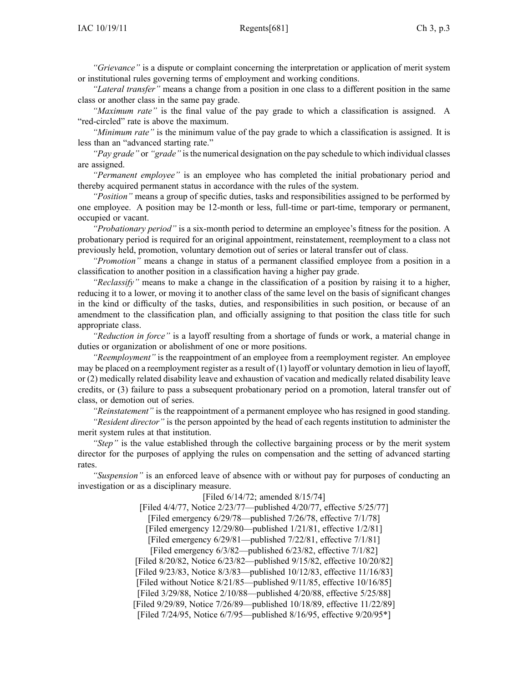*"Grievance"* is <sup>a</sup> dispute or complaint concerning the interpretation or application of merit system or institutional rules governing terms of employment and working conditions.

*"Lateral transfer"* means <sup>a</sup> change from <sup>a</sup> position in one class to <sup>a</sup> different position in the same class or another class in the same pay grade.

*"Maximum rate"* is the final value of the pay grade to which <sup>a</sup> classification is assigned. A "red-circled" rate is above the maximum.

*"Minimum rate"* is the minimum value of the pay grade to which <sup>a</sup> classification is assigned. It is less than an "advanced starting rate."

*"Pay grade"* or *"grade"* isthe numerical designation on the pay schedule to which individual classes are assigned.

*"Permanent employee"* is an employee who has completed the initial probationary period and thereby acquired permanen<sup>t</sup> status in accordance with the rules of the system.

*"Position"* means <sup>a</sup> group of specific duties, tasks and responsibilities assigned to be performed by one employee. A position may be 12-month or less, full-time or part-time, temporary or permanent, occupied or vacant.

*"Probationary period"* is <sup>a</sup> six-month period to determine an employee's fitness for the position. A probationary period is required for an original appointment, reinstatement, reemployment to <sup>a</sup> class not previously held, promotion, voluntary demotion out of series or lateral transfer out of class.

*"Promotion"* means <sup>a</sup> change in status of <sup>a</sup> permanen<sup>t</sup> classified employee from <sup>a</sup> position in <sup>a</sup> classification to another position in <sup>a</sup> classification having <sup>a</sup> higher pay grade.

*"Reclassify"* means to make <sup>a</sup> change in the classification of <sup>a</sup> position by raising it to <sup>a</sup> higher, reducing it to <sup>a</sup> lower, or moving it to another class of the same level on the basis of significant changes in the kind or difficulty of the tasks, duties, and responsibilities in such position, or because of an amendment to the classification plan, and officially assigning to that position the class title for such appropriate class.

*"Reduction in force"* is <sup>a</sup> layoff resulting from <sup>a</sup> shortage of funds or work, <sup>a</sup> material change in duties or organization or abolishment of one or more positions.

*"Reemployment"* is the reappointment of an employee from <sup>a</sup> reemployment register. An employee may be placed on <sup>a</sup> reemployment register as <sup>a</sup> result of (1) layoff or voluntary demotion in lieu of layoff, or (2) medically related disability leave and exhaustion of vacation and medically related disability leave credits, or (3) failure to pass <sup>a</sup> subsequent probationary period on <sup>a</sup> promotion, lateral transfer out of class, or demotion out of series.

*"Reinstatement"* is the reappointment of <sup>a</sup> permanen<sup>t</sup> employee who has resigned in good standing.

*"Resident director"* is the person appointed by the head of each regents institution to administer the merit system rules at that institution.

*"Step"* is the value established through the collective bargaining process or by the merit system director for the purposes of applying the rules on compensation and the setting of advanced starting rates.

*"Suspension"* is an enforced leave of absence with or without pay for purposes of conducting an investigation or as <sup>a</sup> disciplinary measure.

> [Filed 6/14/72; amended 8/15/74] [Filed 4/4/77, Notice 2/23/77—published 4/20/77, effective 5/25/77] [Filed emergency 6/29/78—published 7/26/78, effective 7/1/78] [Filed emergency 12/29/80—published 1/21/81, effective 1/2/81] [Filed emergency 6/29/81—published 7/22/81, effective 7/1/81] [Filed emergency 6/3/82—published 6/23/82, effective 7/1/82] [Filed 8/20/82, Notice 6/23/82—published 9/15/82, effective 10/20/82] [Filed 9/23/83, Notice 8/3/83—published 10/12/83, effective 11/16/83] [Filed without Notice 8/21/85—published 9/11/85, effective 10/16/85] [Filed 3/29/88, Notice 2/10/88—published 4/20/88, effective 5/25/88] [Filed 9/29/89, Notice 7/26/89—published 10/18/89, effective 11/22/89] [Filed 7/24/95, Notice 6/7/95—published 8/16/95, effective 9/20/95\*]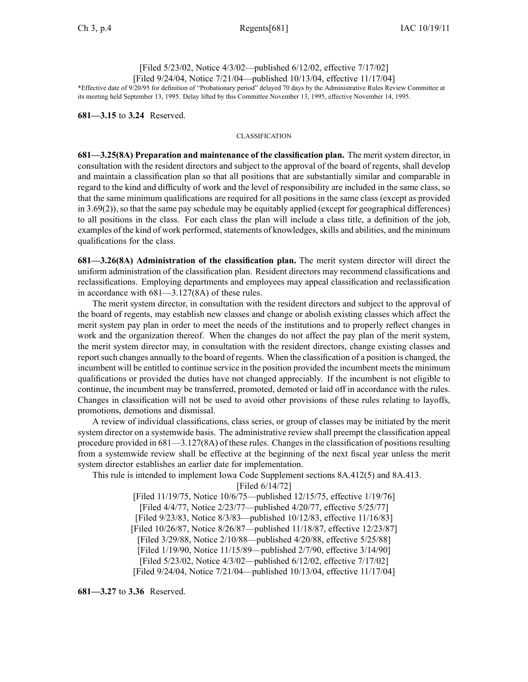[Filed 5/23/02, Notice 4/3/02—published 6/12/02, effective 7/17/02] [Filed 9/24/04, Notice 7/21/04—published 10/13/04, effective 11/17/04]

\*Effective date of 9/20/95 for definition of "Probationary period" delayed 70 days by the Administrative Rules Review Committee at its meeting held September 13, 1995. Delay lifted by this Committee November 13, 1995, effective November 14, 1995.

**681—3.15** to **3.24** Reserved.

### CLASSIFICATION

**681—3.25(8A) Preparation and maintenance of the classification plan.** The merit system director, in consultation with the resident directors and subject to the approval of the board of regents, shall develop and maintain <sup>a</sup> classification plan so that all positions that are substantially similar and comparable in regard to the kind and difficulty of work and the level of responsibility are included in the same class, so that the same minimum qualifications are required for all positions in the same class (except as provided in  $3.69(2)$ ), so that the same pay schedule may be equitably applied (except for geographical differences) to all positions in the class. For each class the plan will include <sup>a</sup> class title, <sup>a</sup> definition of the job, examples of the kind of work performed, statements of knowledges, skills and abilities, and the minimum qualifications for the class.

**681—3.26(8A) Administration of the classification plan.** The merit system director will direct the uniform administration of the classification plan. Resident directors may recommend classifications and reclassifications. Employing departments and employees may appeal classification and reclassification in accordance with 681—3.127(8A) of these rules.

The merit system director, in consultation with the resident directors and subject to the approval of the board of regents, may establish new classes and change or abolish existing classes which affect the merit system pay plan in order to meet the needs of the institutions and to properly reflect changes in work and the organization thereof. When the changes do not affect the pay plan of the merit system, the merit system director may, in consultation with the resident directors, change existing classes and reportsuch changes annually to the board of regents. When the classification of <sup>a</sup> position is changed, the incumbent will be entitled to continue service in the position provided the incumbent meets the minimum qualifications or provided the duties have not changed appreciably. If the incumbent is not eligible to continue, the incumbent may be transferred, promoted, demoted or laid off in accordance with the rules. Changes in classification will not be used to avoid other provisions of these rules relating to layoffs, promotions, demotions and dismissal.

A review of individual classifications, class series, or group of classes may be initiated by the merit system director on <sup>a</sup> systemwide basis. The administrative review shall preemp<sup>t</sup> the classification appeal procedure provided in  $681-3.127(8A)$  of these rules. Changes in the classification of positions resulting from <sup>a</sup> systemwide review shall be effective at the beginning of the next fiscal year unless the merit system director establishes an earlier date for implementation.

This rule is intended to implement Iowa Code Supplement sections 8A.412(5) and 8A.413.

[Filed 6/14/72]

[Filed 11/19/75, Notice 10/6/75—published 12/15/75, effective 1/19/76] [Filed 4/4/77, Notice 2/23/77—published 4/20/77, effective 5/25/77] [Filed 9/23/83, Notice 8/3/83—published 10/12/83, effective 11/16/83] [Filed 10/26/87, Notice 8/26/87—published 11/18/87, effective 12/23/87] [Filed 3/29/88, Notice 2/10/88—published 4/20/88, effective 5/25/88] [Filed 1/19/90, Notice 11/15/89—published 2/7/90, effective 3/14/90] [Filed 5/23/02, Notice 4/3/02—published 6/12/02, effective 7/17/02] [Filed 9/24/04, Notice 7/21/04—published 10/13/04, effective 11/17/04]

**681—3.27** to **3.36** Reserved.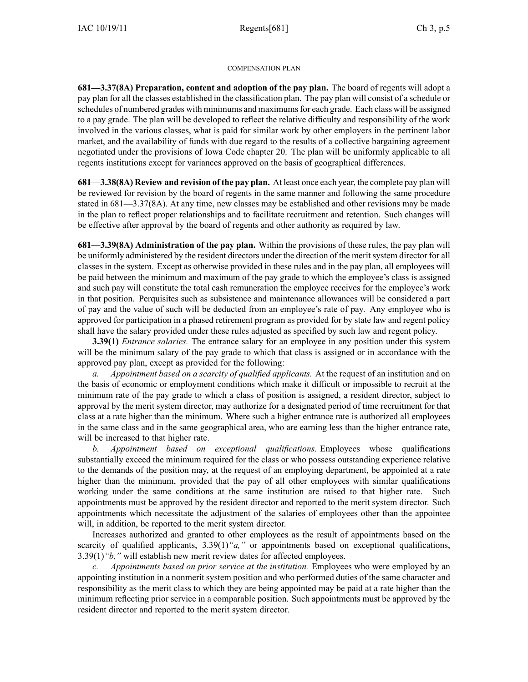### COMPENSATION PLAN

**681—3.37(8A) Preparation, content and adoption of the pay plan.** The board of regents will adopt <sup>a</sup> pay plan for all the classes established in the classification plan. The pay plan will consist of <sup>a</sup> schedule or schedules of numbered grades with minimums and maximumsfor each grade. Each class will be assigned to <sup>a</sup> pay grade. The plan will be developed to reflect the relative difficulty and responsibility of the work involved in the various classes, what is paid for similar work by other employers in the pertinent labor market, and the availability of funds with due regard to the results of <sup>a</sup> collective bargaining agreemen<sup>t</sup> negotiated under the provisions of Iowa Code chapter 20. The plan will be uniformly applicable to all regents institutions excep<sup>t</sup> for variances approved on the basis of geographical differences.

**681—3.38(8A) Review and revision of the pay plan.** At least once each year, the complete pay plan will be reviewed for revision by the board of regents in the same manner and following the same procedure stated in 681—3.37(8A). At any time, new classes may be established and other revisions may be made in the plan to reflect proper relationships and to facilitate recruitment and retention. Such changes will be effective after approval by the board of regents and other authority as required by law.

**681—3.39(8A) Administration of the pay plan.** Within the provisions of these rules, the pay plan will be uniformly administered by the resident directors under the direction of the merit system director for all classes in the system. Except as otherwise provided in these rules and in the pay plan, all employees will be paid between the minimum and maximum of the pay grade to which the employee's class is assigned and such pay will constitute the total cash remuneration the employee receives for the employee's work in that position. Perquisites such as subsistence and maintenance allowances will be considered <sup>a</sup> par<sup>t</sup> of pay and the value of such will be deducted from an employee's rate of pay. Any employee who is approved for participation in <sup>a</sup> phased retirement program as provided for by state law and regen<sup>t</sup> policy shall have the salary provided under these rules adjusted as specified by such law and regen<sup>t</sup> policy.

**3.39(1)** *Entrance salaries.* The entrance salary for an employee in any position under this system will be the minimum salary of the pay grade to which that class is assigned or in accordance with the approved pay plan, excep<sup>t</sup> as provided for the following:

*a. Appointment based on <sup>a</sup> scarcity of qualified applicants.* At the reques<sup>t</sup> of an institution and on the basis of economic or employment conditions which make it difficult or impossible to recruit at the minimum rate of the pay grade to which <sup>a</sup> class of position is assigned, <sup>a</sup> resident director, subject to approval by the merit system director, may authorize for <sup>a</sup> designated period of time recruitment for that class at <sup>a</sup> rate higher than the minimum. Where such <sup>a</sup> higher entrance rate is authorized all employees in the same class and in the same geographical area, who are earning less than the higher entrance rate, will be increased to that higher rate.

*b. Appointment based on exceptional qualifications.* Employees whose qualifications substantially exceed the minimum required for the class or who possess outstanding experience relative to the demands of the position may, at the reques<sup>t</sup> of an employing department, be appointed at <sup>a</sup> rate higher than the minimum, provided that the pay of all other employees with similar qualifications working under the same conditions at the same institution are raised to that higher rate. Such appointments must be approved by the resident director and reported to the merit system director. Such appointments which necessitate the adjustment of the salaries of employees other than the appointee will, in addition, be reported to the merit system director.

Increases authorized and granted to other employees as the result of appointments based on the scarcity of qualified applicants, 3.39(1)*"a,"* or appointments based on exceptional qualifications, 3.39(1)*"b,"* will establish new merit review dates for affected employees.

*c. Appointments based on prior service at the institution.* Employees who were employed by an appointing institution in <sup>a</sup> nonmerit system position and who performed duties of the same character and responsibility as the merit class to which they are being appointed may be paid at <sup>a</sup> rate higher than the minimum reflecting prior service in <sup>a</sup> comparable position. Such appointments must be approved by the resident director and reported to the merit system director.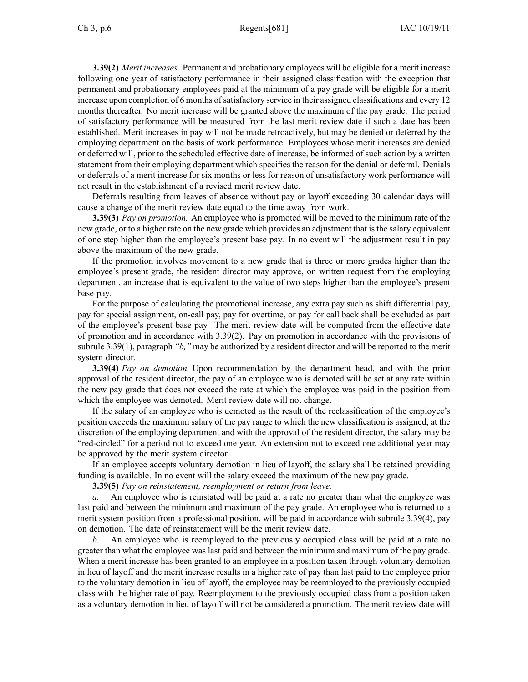**3.39(2)** *Merit increases.* Permanent and probationary employees will be eligible for <sup>a</sup> merit increase following one year of satisfactory performance in their assigned classification with the exception that permanen<sup>t</sup> and probationary employees paid at the minimum of <sup>a</sup> pay grade will be eligible for <sup>a</sup> merit increase upon completion of 6 months of satisfactory service in their assigned classifications and every  $12$ months thereafter. No merit increase will be granted above the maximum of the pay grade. The period of satisfactory performance will be measured from the last merit review date if such <sup>a</sup> date has been established. Merit increases in pay will not be made retroactively, but may be denied or deferred by the employing department on the basis of work performance. Employees whose merit increases are denied or deferred will, prior to the scheduled effective date of increase, be informed of such action by <sup>a</sup> written statement from their employing department which specifies the reason for the denial or deferral. Denials or deferrals of <sup>a</sup> merit increase for six months or less for reason of unsatisfactory work performance will not result in the establishment of <sup>a</sup> revised merit review date.

Deferrals resulting from leaves of absence without pay or layoff exceeding 30 calendar days will cause <sup>a</sup> change of the merit review date equal to the time away from work.

**3.39(3)** *Pay on promotion.* An employee who is promoted will be moved to the minimum rate of the new grade, or to <sup>a</sup> higher rate on the new grade which provides an adjustment that is the salary equivalent of one step higher than the employee's presen<sup>t</sup> base pay. In no event will the adjustment result in pay above the maximum of the new grade.

If the promotion involves movement to <sup>a</sup> new grade that is three or more grades higher than the employee's presen<sup>t</sup> grade, the resident director may approve, on written reques<sup>t</sup> from the employing department, an increase that is equivalent to the value of two steps higher than the employee's presen<sup>t</sup> base pay.

For the purpose of calculating the promotional increase, any extra pay such as shift differential pay, pay for special assignment, on-call pay, pay for overtime, or pay for call back shall be excluded as par<sup>t</sup> of the employee's presen<sup>t</sup> base pay. The merit review date will be computed from the effective date of promotion and in accordance with 3.39(2). Pay on promotion in accordance with the provisions of subrule 3.39(1), paragraph *"b,"* may be authorized by <sup>a</sup> resident director and will be reported to the merit system director.

**3.39(4)** *Pay on demotion.* Upon recommendation by the department head, and with the prior approval of the resident director, the pay of an employee who is demoted will be set at any rate within the new pay grade that does not exceed the rate at which the employee was paid in the position from which the employee was demoted. Merit review date will not change.

If the salary of an employee who is demoted as the result of the reclassification of the employee's position exceeds the maximum salary of the pay range to which the new classification is assigned, at the discretion of the employing department and with the approval of the resident director, the salary may be "red-circled" for <sup>a</sup> period not to exceed one year. An extension not to exceed one additional year may be approved by the merit system director.

If an employee accepts voluntary demotion in lieu of layoff, the salary shall be retained providing funding is available. In no event will the salary exceed the maximum of the new pay grade.

**3.39(5)** *Pay on reinstatement, reemployment or return from leave.*

*a.* An employee who is reinstated will be paid at <sup>a</sup> rate no greater than what the employee was last paid and between the minimum and maximum of the pay grade. An employee who is returned to <sup>a</sup> merit system position from <sup>a</sup> professional position, will be paid in accordance with subrule 3.39(4), pay on demotion. The date of reinstatement will be the merit review date.

*b.* An employee who is reemployed to the previously occupied class will be paid at <sup>a</sup> rate no greater than what the employee was last paid and between the minimum and maximum of the pay grade. When <sup>a</sup> merit increase has been granted to an employee in <sup>a</sup> position taken through voluntary demotion in lieu of layoff and the merit increase results in <sup>a</sup> higher rate of pay than last paid to the employee prior to the voluntary demotion in lieu of layoff, the employee may be reemployed to the previously occupied class with the higher rate of pay. Reemployment to the previously occupied class from <sup>a</sup> position taken as <sup>a</sup> voluntary demotion in lieu of layoff will not be considered <sup>a</sup> promotion. The merit review date will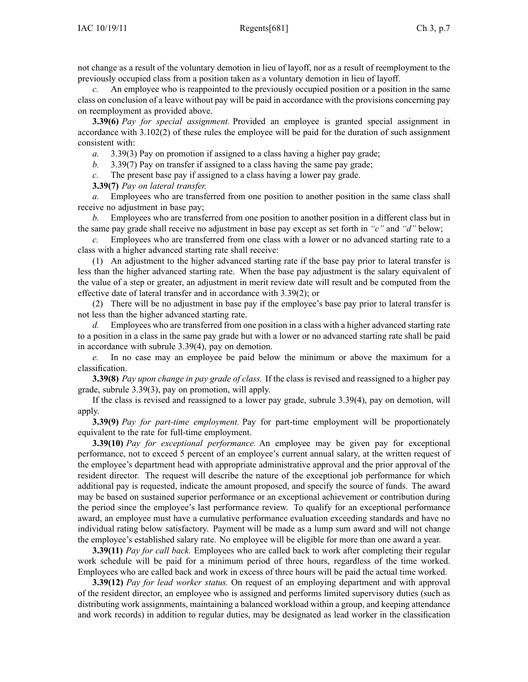not change as <sup>a</sup> result of the voluntary demotion in lieu of layoff, nor as <sup>a</sup> result of reemployment to the previously occupied class from <sup>a</sup> position taken as <sup>a</sup> voluntary demotion in lieu of layoff.

An employee who is reappointed to the previously occupied position or a position in the same class on conclusion of <sup>a</sup> leave without pay will be paid in accordance with the provisions concerning pay on reemployment as provided above.

**3.39(6)** *Pay for special assignment.* Provided an employee is granted special assignment in accordance with 3.102(2) of these rules the employee will be paid for the duration of such assignment consistent with:

*a.* 3.39(3) Pay on promotion if assigned to <sup>a</sup> class having <sup>a</sup> higher pay grade;

*b.* 3.39(7) Pay on transfer if assigned to <sup>a</sup> class having the same pay grade;

*c.* The presen<sup>t</sup> base pay if assigned to <sup>a</sup> class having <sup>a</sup> lower pay grade.

**3.39(7)** *Pay on lateral transfer.*

*a.* Employees who are transferred from one position to another position in the same class shall receive no adjustment in base pay;

*b.* Employees who are transferred from one position to another position in <sup>a</sup> different class but in the same pay grade shall receive no adjustment in base pay excep<sup>t</sup> as set forth in *"c"* and *"d"* below;

*c.* Employees who are transferred from one class with <sup>a</sup> lower or no advanced starting rate to <sup>a</sup> class with <sup>a</sup> higher advanced starting rate shall receive:

(1) An adjustment to the higher advanced starting rate if the base pay prior to lateral transfer is less than the higher advanced starting rate. When the base pay adjustment is the salary equivalent of the value of <sup>a</sup> step or greater, an adjustment in merit review date will result and be computed from the effective date of lateral transfer and in accordance with 3.39(2); or

(2) There will be no adjustment in base pay if the employee's base pay prior to lateral transfer is not less than the higher advanced starting rate.

Employees who are transferred from one position in a class with a higher advanced starting rate to <sup>a</sup> position in <sup>a</sup> class in the same pay grade but with <sup>a</sup> lower or no advanced starting rate shall be paid in accordance with subrule 3.39(4), pay on demotion.

*e.* In no case may an employee be paid below the minimum or above the maximum for <sup>a</sup> classification.

**3.39(8)** *Pay upon change in pay grade of class.* If the class is revised and reassigned to <sup>a</sup> higher pay grade, subrule 3.39(3), pay on promotion, will apply.

If the class is revised and reassigned to <sup>a</sup> lower pay grade, subrule 3.39(4), pay on demotion, will apply.

**3.39(9)** *Pay for part-time employment.* Pay for part-time employment will be proportionately equivalent to the rate for full-time employment.

**3.39(10)** *Pay for exceptional performance.* An employee may be given pay for exceptional performance, not to exceed 5 percen<sup>t</sup> of an employee's current annual salary, at the written reques<sup>t</sup> of the employee's department head with appropriate administrative approval and the prior approval of the resident director. The reques<sup>t</sup> will describe the nature of the exceptional job performance for which additional pay is requested, indicate the amount proposed, and specify the source of funds. The award may be based on sustained superior performance or an exceptional achievement or contribution during the period since the employee's last performance review. To qualify for an exceptional performance award, an employee must have <sup>a</sup> cumulative performance evaluation exceeding standards and have no individual rating below satisfactory. Payment will be made as <sup>a</sup> lump sum award and will not change the employee's established salary rate. No employee will be eligible for more than one award <sup>a</sup> year.

**3.39(11)** *Pay for call back.* Employees who are called back to work after completing their regular work schedule will be paid for <sup>a</sup> minimum period of three hours, regardless of the time worked. Employees who are called back and work in excess of three hours will be paid the actual time worked.

**3.39(12)** *Pay for lead worker status.* On reques<sup>t</sup> of an employing department and with approval of the resident director, an employee who is assigned and performs limited supervisory duties (such as distributing work assignments, maintaining <sup>a</sup> balanced workload within <sup>a</sup> group, and keeping attendance and work records) in addition to regular duties, may be designated as lead worker in the classification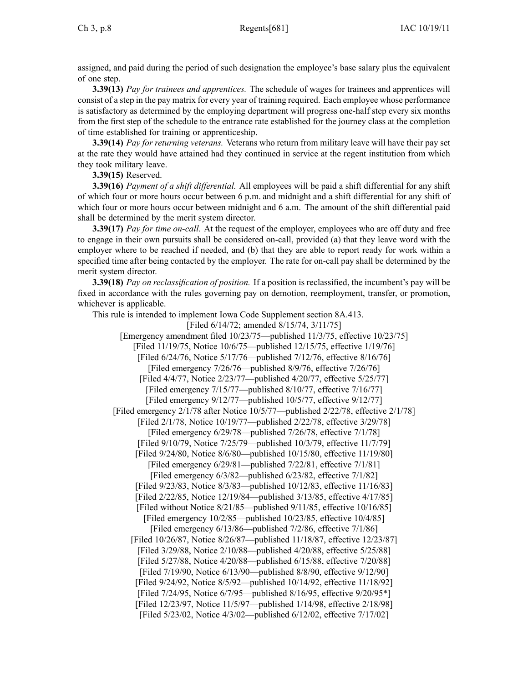assigned, and paid during the period of such designation the employee's base salary plus the equivalent of one step.

**3.39(13)** *Pay for trainees and apprentices.* The schedule of wages for trainees and apprentices will consist of <sup>a</sup> step in the pay matrix for every year of training required. Each employee whose performance is satisfactory as determined by the employing department will progress one-half step every six months from the first step of the schedule to the entrance rate established for the journey class at the completion of time established for training or apprenticeship.

**3.39(14)** *Pay for returning veterans.* Veterans who return from military leave will have their pay set at the rate they would have attained had they continued in service at the regen<sup>t</sup> institution from which they took military leave.

**3.39(15)** Reserved.

**3.39(16)** *Payment of <sup>a</sup> shift differential.* All employees will be paid <sup>a</sup> shift differential for any shift of which four or more hours occur between 6 p.m. and midnight and <sup>a</sup> shift differential for any shift of which four or more hours occur between midnight and 6 a.m. The amount of the shift differential paid shall be determined by the merit system director.

**3.39(17)** *Pay for time on-call.* At the reques<sup>t</sup> of the employer, employees who are off duty and free to engage in their own pursuits shall be considered on-call, provided (a) that they leave word with the employer where to be reached if needed, and (b) that they are able to repor<sup>t</sup> ready for work within <sup>a</sup> specified time after being contacted by the employer. The rate for on-call pay shall be determined by the merit system director.

**3.39(18)** *Pay on reclassification of position.* If <sup>a</sup> position is reclassified, the incumbent's pay will be fixed in accordance with the rules governing pay on demotion, reemployment, transfer, or promotion, whichever is applicable.

This rule is intended to implement Iowa Code Supplement section 8A.413.

[Filed 6/14/72; amended 8/15/74, 3/11/75] [Emergency amendment filed 10/23/75—published 11/3/75, effective 10/23/75] [Filed 11/19/75, Notice 10/6/75—published 12/15/75, effective 1/19/76] [Filed 6/24/76, Notice 5/17/76—published 7/12/76, effective 8/16/76] [Filed emergency 7/26/76—published 8/9/76, effective 7/26/76] [Filed 4/4/77, Notice 2/23/77—published 4/20/77, effective 5/25/77] [Filed emergency 7/15/77—published 8/10/77, effective 7/16/77] [Filed emergency 9/12/77—published 10/5/77, effective 9/12/77] [Filed emergency 2/1/78 after Notice 10/5/77—published 2/22/78, effective 2/1/78] [Filed 2/1/78, Notice 10/19/77—published 2/22/78, effective 3/29/78] [Filed emergency 6/29/78—published 7/26/78, effective 7/1/78] [Filed 9/10/79, Notice 7/25/79—published 10/3/79, effective 11/7/79] [Filed 9/24/80, Notice 8/6/80—published 10/15/80, effective 11/19/80] [Filed emergency 6/29/81—published 7/22/81, effective 7/1/81] [Filed emergency 6/3/82—published 6/23/82, effective 7/1/82] [Filed 9/23/83, Notice 8/3/83—published 10/12/83, effective 11/16/83] [Filed 2/22/85, Notice 12/19/84—published 3/13/85, effective 4/17/85] [Filed without Notice 8/21/85—published 9/11/85, effective 10/16/85] [Filed emergency 10/2/85—published 10/23/85, effective 10/4/85] [Filed emergency 6/13/86—published 7/2/86, effective 7/1/86] [Filed 10/26/87, Notice 8/26/87—published 11/18/87, effective 12/23/87] [Filed 3/29/88, Notice 2/10/88—published 4/20/88, effective 5/25/88] [Filed 5/27/88, Notice 4/20/88—published 6/15/88, effective 7/20/88] [Filed 7/19/90, Notice 6/13/90—published 8/8/90, effective 9/12/90] [Filed 9/24/92, Notice 8/5/92—published 10/14/92, effective 11/18/92] [Filed 7/24/95, Notice 6/7/95—published 8/16/95, effective 9/20/95<sup>\*</sup>] [Filed 12/23/97, Notice 11/5/97—published 1/14/98, effective 2/18/98] [Filed 5/23/02, Notice 4/3/02—published 6/12/02, effective 7/17/02]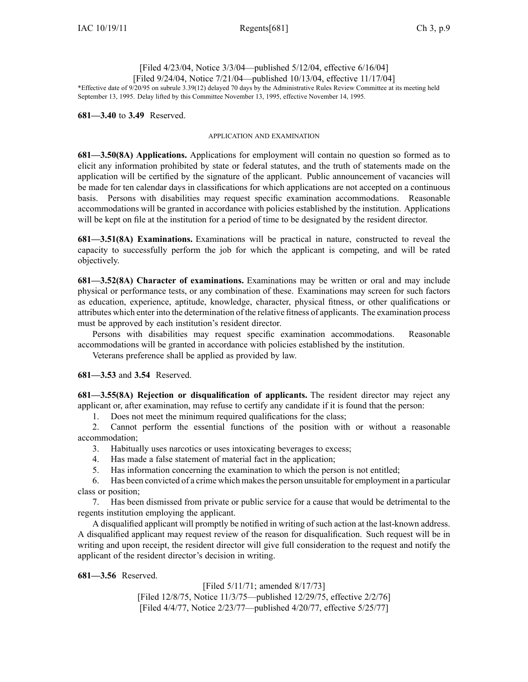# [Filed 4/23/04, Notice 3/3/04—published 5/12/04, effective 6/16/04] [Filed 9/24/04, Notice 7/21/04—published 10/13/04, effective 11/17/04]

\*Effective date of 9/20/95 on subrule 3.39(12) delayed 70 days by the Administrative Rules Review Committee at its meeting held September 13, 1995. Delay lifted by this Committee November 13, 1995, effective November 14, 1995.

**681—3.40** to **3.49** Reserved.

### APPLICATION AND EXAMINATION

**681—3.50(8A) Applications.** Applications for employment will contain no question so formed as to elicit any information prohibited by state or federal statutes, and the truth of statements made on the application will be certified by the signature of the applicant. Public announcement of vacancies will be made for ten calendar days in classifications for which applications are not accepted on <sup>a</sup> continuous basis. Persons with disabilities may reques<sup>t</sup> specific examination accommodations. Reasonable accommodations will be granted in accordance with policies established by the institution. Applications will be kept on file at the institution for <sup>a</sup> period of time to be designated by the resident director.

**681—3.51(8A) Examinations.** Examinations will be practical in nature, constructed to reveal the capacity to successfully perform the job for which the applicant is competing, and will be rated objectively.

**681—3.52(8A) Character of examinations.** Examinations may be written or oral and may include physical or performance tests, or any combination of these. Examinations may screen for such factors as education, experience, aptitude, knowledge, character, physical fitness, or other qualifications or attributes which enter into the determination of the relative fitness of applicants. The examination process must be approved by each institution's resident director.

Persons with disabilities may reques<sup>t</sup> specific examination accommodations. Reasonable accommodations will be granted in accordance with policies established by the institution.

Veterans preference shall be applied as provided by law.

**681—3.53** and **3.54** Reserved.

**681—3.55(8A) Rejection or disqualification of applicants.** The resident director may reject any applicant or, after examination, may refuse to certify any candidate if it is found that the person:

1. Does not meet the minimum required qualifications for the class;

2. Cannot perform the essential functions of the position with or without <sup>a</sup> reasonable accommodation;

- 3. Habitually uses narcotics or uses intoxicating beverages to excess;
- 4. Has made <sup>a</sup> false statement of material fact in the application;
- 5. Has information concerning the examination to which the person is not entitled;

6. Has been convicted of <sup>a</sup> crime which makesthe person unsuitable for employment in <sup>a</sup> particular class or position;

7. Has been dismissed from private or public service for <sup>a</sup> cause that would be detrimental to the regents institution employing the applicant.

A disqualified applicant will promptly be notified in writing of such action at the last-known address. A disqualified applicant may reques<sup>t</sup> review of the reason for disqualification. Such reques<sup>t</sup> will be in writing and upon receipt, the resident director will give full consideration to the reques<sup>t</sup> and notify the applicant of the resident director's decision in writing.

**681—3.56** Reserved.

[Filed 5/11/71; amended 8/17/73] [Filed 12/8/75, Notice 11/3/75—published 12/29/75, effective 2/2/76] [Filed 4/4/77, Notice 2/23/77—published 4/20/77, effective 5/25/77]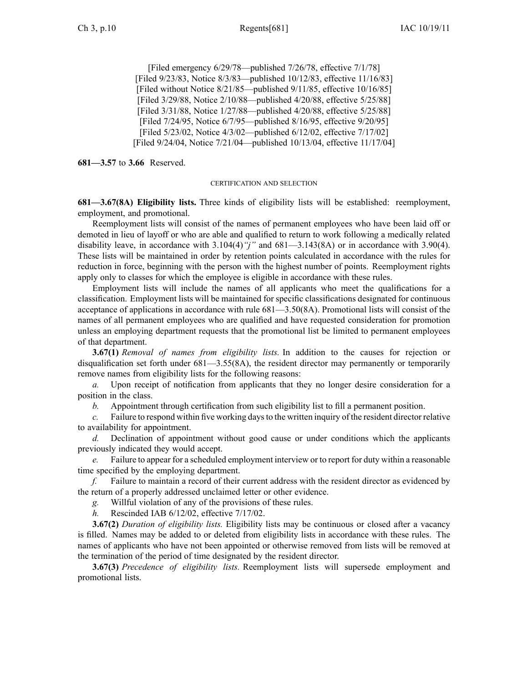[Filed emergency 6/29/78—published 7/26/78, effective 7/1/78] [Filed 9/23/83, Notice 8/3/83—published 10/12/83, effective 11/16/83] [Filed without Notice 8/21/85—published 9/11/85, effective 10/16/85] [Filed 3/29/88, Notice 2/10/88—published 4/20/88, effective 5/25/88] [Filed 3/31/88, Notice 1/27/88—published 4/20/88, effective 5/25/88] [Filed 7/24/95, Notice 6/7/95—published 8/16/95, effective 9/20/95] [Filed 5/23/02, Notice 4/3/02—published 6/12/02, effective 7/17/02] [Filed 9/24/04, Notice 7/21/04—published 10/13/04, effective 11/17/04]

**681—3.57** to **3.66** Reserved.

### CERTIFICATION AND SELECTION

**681—3.67(8A) Eligibility lists.** Three kinds of eligibility lists will be established: reemployment, employment, and promotional.

Reemployment lists will consist of the names of permanen<sup>t</sup> employees who have been laid off or demoted in lieu of layoff or who are able and qualified to return to work following <sup>a</sup> medically related disability leave, in accordance with 3.104(4)*"j"* and 681—3.143(8A) or in accordance with 3.90(4). These lists will be maintained in order by retention points calculated in accordance with the rules for reduction in force, beginning with the person with the highest number of points. Reemployment rights apply only to classes for which the employee is eligible in accordance with these rules.

Employment lists will include the names of all applicants who meet the qualifications for <sup>a</sup> classification. Employment lists will be maintained for specific classifications designated for continuous acceptance of applications in accordance with rule 681—3.50(8A). Promotional lists will consist of the names of all permanen<sup>t</sup> employees who are qualified and have requested consideration for promotion unless an employing department requests that the promotional list be limited to permanen<sup>t</sup> employees of that department.

**3.67(1)** *Removal of names from eligibility lists.* In addition to the causes for rejection or disqualification set forth under 681—3.55(8A), the resident director may permanently or temporarily remove names from eligibility lists for the following reasons:

*a.* Upon receipt of notification from applicants that they no longer desire consideration for <sup>a</sup> position in the class.

*b.* Appointment through certification from such eligibility list to fill <sup>a</sup> permanen<sup>t</sup> position.

*c.* Failure to respond within five working days to the written inquiry of the resident director relative to availability for appointment.

*d.* Declination of appointment without good cause or under conditions which the applicants previously indicated they would accept.

*e.* Failure to appear for <sup>a</sup> scheduled employment interview or to repor<sup>t</sup> for duty within <sup>a</sup> reasonable time specified by the employing department.

Failure to maintain a record of their current address with the resident director as evidenced by the return of <sup>a</sup> properly addressed unclaimed letter or other evidence.

*g.* Willful violation of any of the provisions of these rules.

*h.* Rescinded IAB 6/12/02, effective 7/17/02.

**3.67(2)** *Duration of eligibility lists.* Eligibility lists may be continuous or closed after <sup>a</sup> vacancy is filled. Names may be added to or deleted from eligibility lists in accordance with these rules. The names of applicants who have not been appointed or otherwise removed from lists will be removed at the termination of the period of time designated by the resident director.

**3.67(3)** *Precedence of eligibility lists.* Reemployment lists will supersede employment and promotional lists.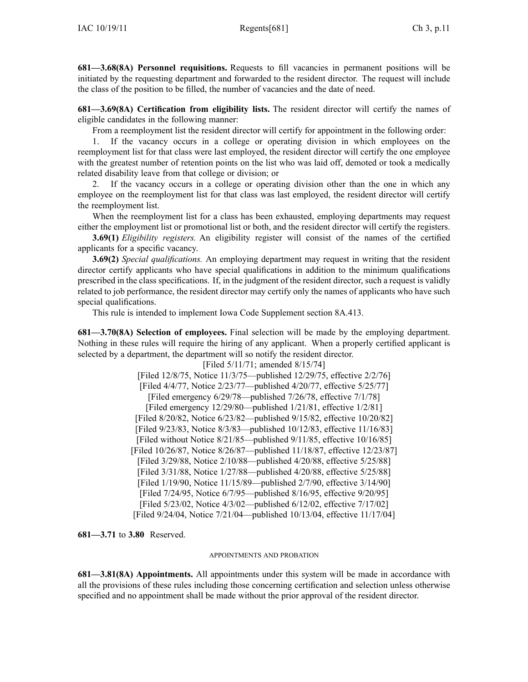**681—3.68(8A) Personnel requisitions.** Requests to fill vacancies in permanen<sup>t</sup> positions will be initiated by the requesting department and forwarded to the resident director. The reques<sup>t</sup> will include the class of the position to be filled, the number of vacancies and the date of need.

**681—3.69(8A) Certification from eligibility lists.** The resident director will certify the names of eligible candidates in the following manner:

From <sup>a</sup> reemployment list the resident director will certify for appointment in the following order:

1. If the vacancy occurs in <sup>a</sup> college or operating division in which employees on the reemployment list for that class were last employed, the resident director will certify the one employee with the greatest number of retention points on the list who was laid off, demoted or took <sup>a</sup> medically related disability leave from that college or division; or

2. If the vacancy occurs in <sup>a</sup> college or operating division other than the one in which any employee on the reemployment list for that class was last employed, the resident director will certify the reemployment list.

When the reemployment list for <sup>a</sup> class has been exhausted, employing departments may reques<sup>t</sup> either the employment list or promotional list or both, and the resident director will certify the registers.

**3.69(1)** *Eligibility registers.* An eligibility register will consist of the names of the certified applicants for <sup>a</sup> specific vacancy.

**3.69(2)** *Special qualifications.* An employing department may reques<sup>t</sup> in writing that the resident director certify applicants who have special qualifications in addition to the minimum qualifications prescribed in the class specifications. If, in the judgment of the resident director, such <sup>a</sup> reques<sup>t</sup> is validly related to job performance, the resident director may certify only the names of applicants who have such special qualifications.

This rule is intended to implement Iowa Code Supplement section 8A.413.

**681—3.70(8A) Selection of employees.** Final selection will be made by the employing department. Nothing in these rules will require the hiring of any applicant. When <sup>a</sup> properly certified applicant is selected by <sup>a</sup> department, the department will so notify the resident director.

[Filed 5/11/71; amended 8/15/74] [Filed 12/8/75, Notice 11/3/75—published 12/29/75, effective 2/2/76] [Filed 4/4/77, Notice 2/23/77—published 4/20/77, effective 5/25/77] [Filed emergency 6/29/78—published 7/26/78, effective 7/1/78] [Filed emergency 12/29/80—published 1/21/81, effective 1/2/81] [Filed 8/20/82, Notice 6/23/82—published 9/15/82, effective 10/20/82] [Filed 9/23/83, Notice 8/3/83—published 10/12/83, effective 11/16/83] [Filed without Notice 8/21/85—published 9/11/85, effective 10/16/85] [Filed 10/26/87, Notice 8/26/87—published 11/18/87, effective 12/23/87] [Filed 3/29/88, Notice 2/10/88—published 4/20/88, effective 5/25/88] [Filed 3/31/88, Notice 1/27/88—published 4/20/88, effective 5/25/88] [Filed 1/19/90, Notice 11/15/89—published 2/7/90, effective 3/14/90] [Filed 7/24/95, Notice 6/7/95—published 8/16/95, effective 9/20/95] [Filed 5/23/02, Notice 4/3/02—published 6/12/02, effective 7/17/02] [Filed 9/24/04, Notice 7/21/04—published 10/13/04, effective 11/17/04]

**681—3.71** to **3.80** Reserved.

### APPOINTMENTS AND PROBATION

**681—3.81(8A) Appointments.** All appointments under this system will be made in accordance with all the provisions of these rules including those concerning certification and selection unless otherwise specified and no appointment shall be made without the prior approval of the resident director.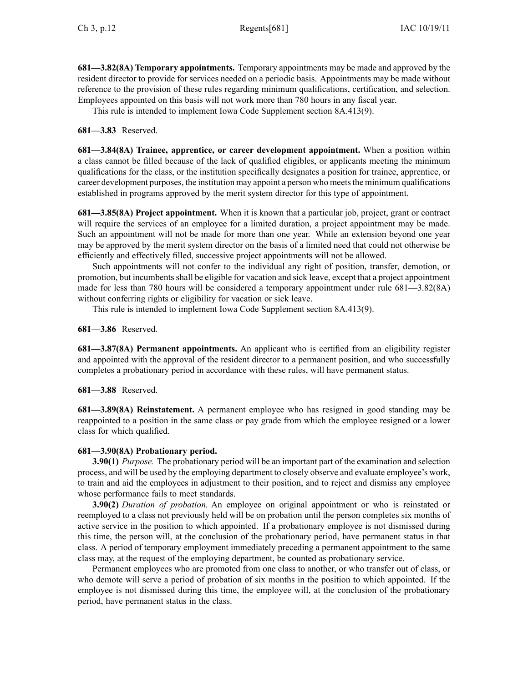**681—3.82(8A) Temporary appointments.** Temporary appointments may be made and approved by the resident director to provide for services needed on <sup>a</sup> periodic basis. Appointments may be made without reference to the provision of these rules regarding minimum qualifications, certification, and selection. Employees appointed on this basis will not work more than 780 hours in any fiscal year.

This rule is intended to implement Iowa Code Supplement section 8A.413(9).

**681—3.83** Reserved.

**681—3.84(8A) Trainee, apprentice, or career development appointment.** When <sup>a</sup> position within <sup>a</sup> class cannot be filled because of the lack of qualified eligibles, or applicants meeting the minimum qualifications for the class, or the institution specifically designates <sup>a</sup> position for trainee, apprentice, or career development purposes, the institution may appoint <sup>a</sup> person who meetsthe minimum qualifications established in programs approved by the merit system director for this type of appointment.

**681—3.85(8A) Project appointment.** When it is known that <sup>a</sup> particular job, project, gran<sup>t</sup> or contract will require the services of an employee for a limited duration, a project appointment may be made. Such an appointment will not be made for more than one year. While an extension beyond one year may be approved by the merit system director on the basis of <sup>a</sup> limited need that could not otherwise be efficiently and effectively filled, successive project appointments will not be allowed.

Such appointments will not confer to the individual any right of position, transfer, demotion, or promotion, but incumbentsshall be eligible for vacation and sick leave, excep<sup>t</sup> that <sup>a</sup> project appointment made for less than 780 hours will be considered <sup>a</sup> temporary appointment under rule 681—3.82(8A) without conferring rights or eligibility for vacation or sick leave.

This rule is intended to implement Iowa Code Supplement section 8A.413(9).

**681—3.86** Reserved.

**681—3.87(8A) Permanent appointments.** An applicant who is certified from an eligibility register and appointed with the approval of the resident director to <sup>a</sup> permanen<sup>t</sup> position, and who successfully completes <sup>a</sup> probationary period in accordance with these rules, will have permanen<sup>t</sup> status.

**681—3.88** Reserved.

**681—3.89(8A) Reinstatement.** A permanen<sup>t</sup> employee who has resigned in good standing may be reappointed to <sup>a</sup> position in the same class or pay grade from which the employee resigned or <sup>a</sup> lower class for which qualified.

# **681—3.90(8A) Probationary period.**

**3.90(1)** *Purpose.* The probationary period will be an important par<sup>t</sup> of the examination and selection process, and will be used by the employing department to closely observe and evaluate employee's work, to train and aid the employees in adjustment to their position, and to reject and dismiss any employee whose performance fails to meet standards.

**3.90(2)** *Duration of probation.* An employee on original appointment or who is reinstated or reemployed to <sup>a</sup> class not previously held will be on probation until the person completes six months of active service in the position to which appointed. If <sup>a</sup> probationary employee is not dismissed during this time, the person will, at the conclusion of the probationary period, have permanen<sup>t</sup> status in that class. A period of temporary employment immediately preceding <sup>a</sup> permanen<sup>t</sup> appointment to the same class may, at the reques<sup>t</sup> of the employing department, be counted as probationary service.

Permanent employees who are promoted from one class to another, or who transfer out of class, or who demote will serve <sup>a</sup> period of probation of six months in the position to which appointed. If the employee is not dismissed during this time, the employee will, at the conclusion of the probationary period, have permanen<sup>t</sup> status in the class.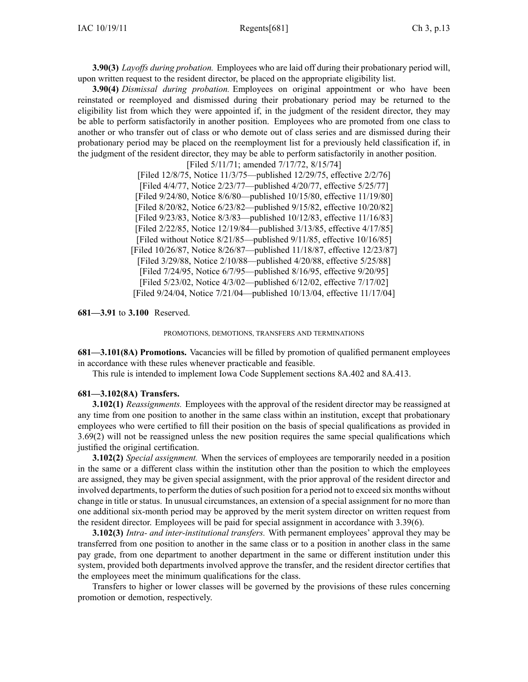**3.90(3)** *Layoffs during probation.* Employees who are laid off during their probationary period will, upon written reques<sup>t</sup> to the resident director, be placed on the appropriate eligibility list.

**3.90(4)** *Dismissal during probation.* Employees on original appointment or who have been reinstated or reemployed and dismissed during their probationary period may be returned to the eligibility list from which they were appointed if, in the judgment of the resident director, they may be able to perform satisfactorily in another position. Employees who are promoted from one class to another or who transfer out of class or who demote out of class series and are dismissed during their probationary period may be placed on the reemployment list for <sup>a</sup> previously held classification if, in the judgment of the resident director, they may be able to perform satisfactorily in another position.

> [Filed 5/11/71; amended 7/17/72, 8/15/74] [Filed 12/8/75, Notice 11/3/75—published 12/29/75, effective 2/2/76] [Filed 4/4/77, Notice 2/23/77—published 4/20/77, effective 5/25/77] [Filed 9/24/80, Notice 8/6/80—published 10/15/80, effective 11/19/80] [Filed 8/20/82, Notice 6/23/82—published 9/15/82, effective 10/20/82] [Filed 9/23/83, Notice 8/3/83—published 10/12/83, effective 11/16/83] [Filed 2/22/85, Notice 12/19/84—published 3/13/85, effective 4/17/85] [Filed without Notice 8/21/85—published 9/11/85, effective 10/16/85] [Filed 10/26/87, Notice 8/26/87—published 11/18/87, effective 12/23/87] [Filed 3/29/88, Notice 2/10/88—published 4/20/88, effective 5/25/88] [Filed 7/24/95, Notice 6/7/95—published 8/16/95, effective 9/20/95] [Filed 5/23/02, Notice 4/3/02—published 6/12/02, effective 7/17/02] [Filed 9/24/04, Notice 7/21/04—published 10/13/04, effective 11/17/04]

**681—3.91** to **3.100** Reserved.

PROMOTIONS, DEMOTIONS, TRANSFERS AND TERMINATIONS

**681—3.101(8A) Promotions.** Vacancies will be filled by promotion of qualified permanen<sup>t</sup> employees in accordance with these rules whenever practicable and feasible.

This rule is intended to implement Iowa Code Supplement sections 8A.402 and 8A.413.

## **681—3.102(8A) Transfers.**

**3.102(1)** *Reassignments.* Employees with the approval of the resident director may be reassigned at any time from one position to another in the same class within an institution, excep<sup>t</sup> that probationary employees who were certified to fill their position on the basis of special qualifications as provided in 3.69(2) will not be reassigned unless the new position requires the same special qualifications which justified the original certification.

**3.102(2)** *Special assignment.* When the services of employees are temporarily needed in <sup>a</sup> position in the same or <sup>a</sup> different class within the institution other than the position to which the employees are assigned, they may be given special assignment, with the prior approval of the resident director and involved departments, to perform the duties ofsuch position for <sup>a</sup> period not to exceed six months without change in title or status. In unusual circumstances, an extension of <sup>a</sup> special assignment for no more than one additional six-month period may be approved by the merit system director on written reques<sup>t</sup> from the resident director. Employees will be paid for special assignment in accordance with 3.39(6).

**3.102(3)** *Intra- and inter-institutional transfers.* With permanen<sup>t</sup> employees' approval they may be transferred from one position to another in the same class or to <sup>a</sup> position in another class in the same pay grade, from one department to another department in the same or different institution under this system, provided both departments involved approve the transfer, and the resident director certifies that the employees meet the minimum qualifications for the class.

Transfers to higher or lower classes will be governed by the provisions of these rules concerning promotion or demotion, respectively.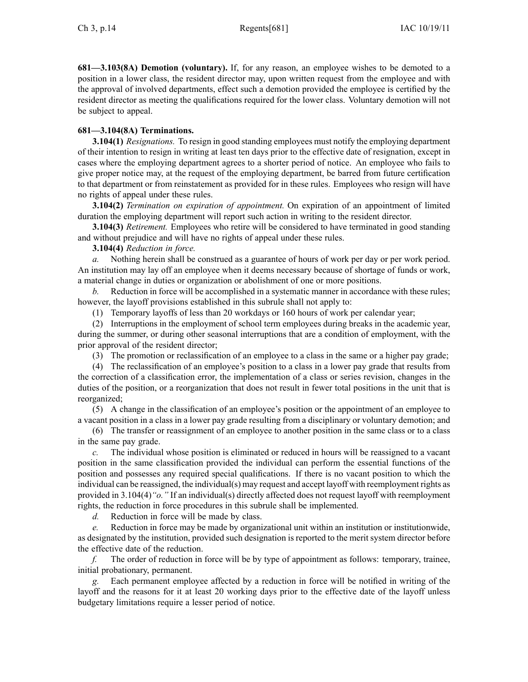**681—3.103(8A) Demotion (voluntary).** If, for any reason, an employee wishes to be demoted to <sup>a</sup> position in <sup>a</sup> lower class, the resident director may, upon written reques<sup>t</sup> from the employee and with the approval of involved departments, effect such <sup>a</sup> demotion provided the employee is certified by the resident director as meeting the qualifications required for the lower class. Voluntary demotion will not be subject to appeal.

# **681—3.104(8A) Terminations.**

**3.104(1)** *Resignations.* To resign in good standing employees must notify the employing department of their intention to resign in writing at least ten days prior to the effective date of resignation, excep<sup>t</sup> in cases where the employing department agrees to <sup>a</sup> shorter period of notice. An employee who fails to give proper notice may, at the reques<sup>t</sup> of the employing department, be barred from future certification to that department or from reinstatement as provided for in these rules. Employees who resign will have no rights of appeal under these rules.

**3.104(2)** *Termination on expiration of appointment.* On expiration of an appointment of limited duration the employing department will repor<sup>t</sup> such action in writing to the resident director.

**3.104(3)** *Retirement.* Employees who retire will be considered to have terminated in good standing and without prejudice and will have no rights of appeal under these rules.

**3.104(4)** *Reduction in force.*

*a.* Nothing herein shall be construed as <sup>a</sup> guarantee of hours of work per day or per work period. An institution may lay off an employee when it deems necessary because of shortage of funds or work, <sup>a</sup> material change in duties or organization or abolishment of one or more positions.

*b.* Reduction in force will be accomplished in a systematic manner in accordance with these rules; however, the layoff provisions established in this subrule shall not apply to:

(1) Temporary layoffs of less than 20 workdays or 160 hours of work per calendar year;

(2) Interruptions in the employment of school term employees during breaks in the academic year, during the summer, or during other seasonal interruptions that are <sup>a</sup> condition of employment, with the prior approval of the resident director;

(3) The promotion or reclassification of an employee to <sup>a</sup> class in the same or <sup>a</sup> higher pay grade;

(4) The reclassification of an employee's position to <sup>a</sup> class in <sup>a</sup> lower pay grade that results from the correction of <sup>a</sup> classification error, the implementation of <sup>a</sup> class or series revision, changes in the duties of the position, or <sup>a</sup> reorganization that does not result in fewer total positions in the unit that is reorganized;

(5) A change in the classification of an employee's position or the appointment of an employee to <sup>a</sup> vacant position in <sup>a</sup> class in <sup>a</sup> lower pay grade resulting from <sup>a</sup> disciplinary or voluntary demotion; and

(6) The transfer or reassignment of an employee to another position in the same class or to <sup>a</sup> class in the same pay grade.

*c.* The individual whose position is eliminated or reduced in hours will be reassigned to <sup>a</sup> vacant position in the same classification provided the individual can perform the essential functions of the position and possesses any required special qualifications. If there is no vacant position to which the individual can be reassigned, the individual(s) may reques<sup>t</sup> and accep<sup>t</sup> layoff with reemployment rights as provided in 3.104(4)*"o."* If an individual(s) directly affected does not reques<sup>t</sup> layoff with reemployment rights, the reduction in force procedures in this subrule shall be implemented.

*d.* Reduction in force will be made by class.

*e.* Reduction in force may be made by organizational unit within an institution or institutionwide, as designated by the institution, provided such designation is reported to the merit system director before the effective date of the reduction.

*f.* The order of reduction in force will be by type of appointment as follows: temporary, trainee, initial probationary, permanent.

Each permanent employee affected by a reduction in force will be notified in writing of the layoff and the reasons for it at least 20 working days prior to the effective date of the layoff unless budgetary limitations require <sup>a</sup> lesser period of notice.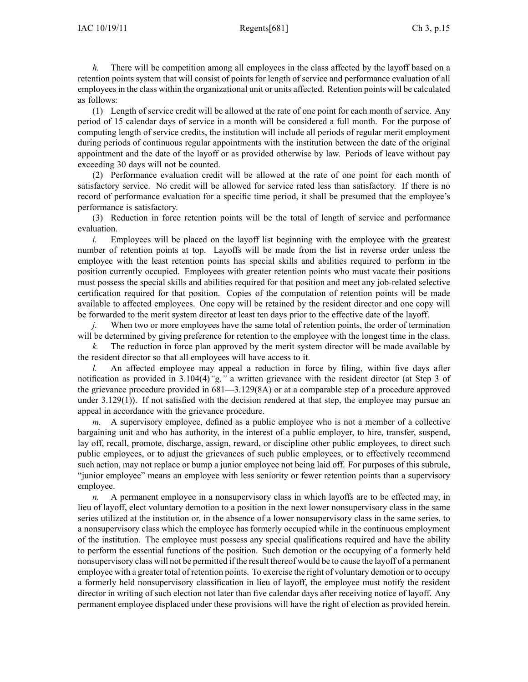*h.* There will be competition among all employees in the class affected by the layoff based on a retention points system that will consist of points for length of service and performance evaluation of all employeesin the class within the organizational unit or units affected. Retention points will be calculated as follows:

(1) Length of service credit will be allowed at the rate of one point for each month of service. Any period of 15 calendar days of service in <sup>a</sup> month will be considered <sup>a</sup> full month. For the purpose of computing length of service credits, the institution will include all periods of regular merit employment during periods of continuous regular appointments with the institution between the date of the original appointment and the date of the layoff or as provided otherwise by law. Periods of leave without pay exceeding 30 days will not be counted.

(2) Performance evaluation credit will be allowed at the rate of one point for each month of satisfactory service. No credit will be allowed for service rated less than satisfactory. If there is no record of performance evaluation for <sup>a</sup> specific time period, it shall be presumed that the employee's performance is satisfactory.

(3) Reduction in force retention points will be the total of length of service and performance evaluation.

*i.* Employees will be placed on the layoff list beginning with the employee with the greatest number of retention points at top. Layoffs will be made from the list in reverse order unless the employee with the least retention points has special skills and abilities required to perform in the position currently occupied. Employees with greater retention points who must vacate their positions must possess the special skills and abilities required for that position and meet any job-related selective certification required for that position. Copies of the computation of retention points will be made available to affected employees. One copy will be retained by the resident director and one copy will be forwarded to the merit system director at least ten days prior to the effective date of the layoff.

*j.* When two or more employees have the same total of retention points, the order of termination will be determined by giving preference for retention to the employee with the longest time in the class.

*k.* The reduction in force plan approved by the merit system director will be made available by the resident director so that all employees will have access to it.

*l.* An affected employee may appeal a reduction in force by filing, within five days after notification as provided in 3.104(4)*"g,"* <sup>a</sup> written grievance with the resident director (at Step 3 of the grievance procedure provided in 681—3.129(8A) or at <sup>a</sup> comparable step of <sup>a</sup> procedure approved under  $3.129(1)$ ). If not satisfied with the decision rendered at that step, the employee may pursue an appeal in accordance with the grievance procedure.

*m.* A supervisory employee, defined as <sup>a</sup> public employee who is not <sup>a</sup> member of <sup>a</sup> collective bargaining unit and who has authority, in the interest of <sup>a</sup> public employer, to hire, transfer, suspend, lay off, recall, promote, discharge, assign, reward, or discipline other public employees, to direct such public employees, or to adjust the grievances of such public employees, or to effectively recommend such action, may not replace or bump <sup>a</sup> junior employee not being laid off. For purposes of this subrule, "junior employee" means an employee with less seniority or fewer retention points than <sup>a</sup> supervisory employee.

*n.* A permanent employee in a nonsupervisory class in which layoffs are to be effected may, in lieu of layoff, elect voluntary demotion to <sup>a</sup> position in the next lower nonsupervisory class in the same series utilized at the institution or, in the absence of <sup>a</sup> lower nonsupervisory class in the same series, to <sup>a</sup> nonsupervisory class which the employee has formerly occupied while in the continuous employment of the institution. The employee must possess any special qualifications required and have the ability to perform the essential functions of the position. Such demotion or the occupying of <sup>a</sup> formerly held nonsupervisory class will not be permitted if the result thereof would be to cause the layoff of <sup>a</sup> permanen<sup>t</sup> employee with <sup>a</sup> greater total of retention points. To exercise the right of voluntary demotion or to occupy <sup>a</sup> formerly held nonsupervisory classification in lieu of layoff, the employee must notify the resident director in writing of such election not later than five calendar days after receiving notice of layoff. Any permanen<sup>t</sup> employee displaced under these provisions will have the right of election as provided herein.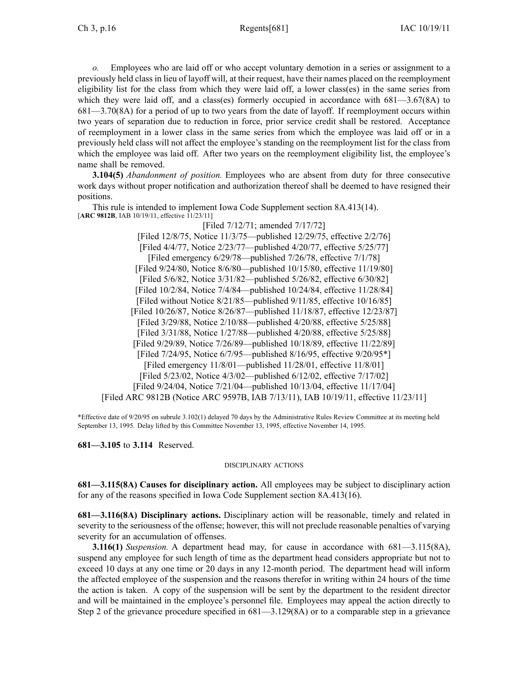*o.* Employees who are laid off or who accep<sup>t</sup> voluntary demotion in <sup>a</sup> series or assignment to <sup>a</sup> previously held class in lieu of layoff will, at their request, have their names placed on the reemployment eligibility list for the class from which they were laid off, <sup>a</sup> lower class(es) in the same series from which they were laid off, and a class(es) formerly occupied in accordance with  $681 - 3.67(8)$  to 681—3.70(8A) for <sup>a</sup> period of up to two years from the date of layoff. If reemployment occurs within two years of separation due to reduction in force, prior service credit shall be restored. Acceptance of reemployment in <sup>a</sup> lower class in the same series from which the employee was laid off or in <sup>a</sup> previously held class will not affect the employee's standing on the reemployment list for the class from which the employee was laid off. After two years on the reemployment eligibility list, the employee's name shall be removed.

**3.104(5)** *Abandonment of position.* Employees who are absent from duty for three consecutive work days without proper notification and authorization thereof shall be deemed to have resigned their positions.

This rule is intended to implement Iowa Code Supplement section 8A.413(14). [**ARC 9812B**, IAB 10/19/11, effective 11/23/11]

[Filed 7/12/71; amended 7/17/72] [Filed 12/8/75, Notice 11/3/75—published 12/29/75, effective 2/2/76] [Filed 4/4/77, Notice 2/23/77—published 4/20/77, effective 5/25/77] [Filed emergency 6/29/78—published 7/26/78, effective 7/1/78] [Filed 9/24/80, Notice 8/6/80—published 10/15/80, effective 11/19/80] [Filed 5/6/82, Notice 3/31/82—published 5/26/82, effective 6/30/82] [Filed 10/2/84, Notice 7/4/84—published 10/24/84, effective 11/28/84] [Filed without Notice 8/21/85—published 9/11/85, effective 10/16/85] [Filed 10/26/87, Notice 8/26/87—published 11/18/87, effective 12/23/87] [Filed 3/29/88, Notice 2/10/88—published 4/20/88, effective 5/25/88] [Filed 3/31/88, Notice 1/27/88—published 4/20/88, effective 5/25/88] [Filed 9/29/89, Notice 7/26/89—published 10/18/89, effective 11/22/89] [Filed 7/24/95, Notice 6/7/95—published 8/16/95, effective 9/20/95\*] [Filed emergency 11/8/01—published 11/28/01, effective 11/8/01] [Filed 5/23/02, Notice 4/3/02—published 6/12/02, effective 7/17/02] [Filed 9/24/04, Notice 7/21/04—published 10/13/04, effective 11/17/04] [Filed ARC 9812B (Notice ARC 9597B, IAB 7/13/11), IAB 10/19/11, effective 11/23/11]

\*Effective date of 9/20/95 on subrule 3.102(1) delayed 70 days by the Administrative Rules Review Committee at its meeting held September 13, 1995. Delay lifted by this Committee November 13, 1995, effective November 14, 1995.

**681—3.105** to **3.114** Reserved.

### DISCIPLINARY ACTIONS

**681—3.115(8A) Causes for disciplinary action.** All employees may be subject to disciplinary action for any of the reasons specified in Iowa Code Supplement section 8A.413(16).

**681—3.116(8A) Disciplinary actions.** Disciplinary action will be reasonable, timely and related in severity to the seriousness of the offense; however, this will not preclude reasonable penalties of varying severity for an accumulation of offenses.

**3.116(1)** *Suspension.* A department head may, for cause in accordance with 681—3.115(8A), suspend any employee for such length of time as the department head considers appropriate but not to exceed 10 days at any one time or 20 days in any 12-month period. The department head will inform the affected employee of the suspension and the reasons therefor in writing within 24 hours of the time the action is taken. A copy of the suspension will be sent by the department to the resident director and will be maintained in the employee's personnel file. Employees may appeal the action directly to Step 2 of the grievance procedure specified in 681—3.129(8A) or to <sup>a</sup> comparable step in <sup>a</sup> grievance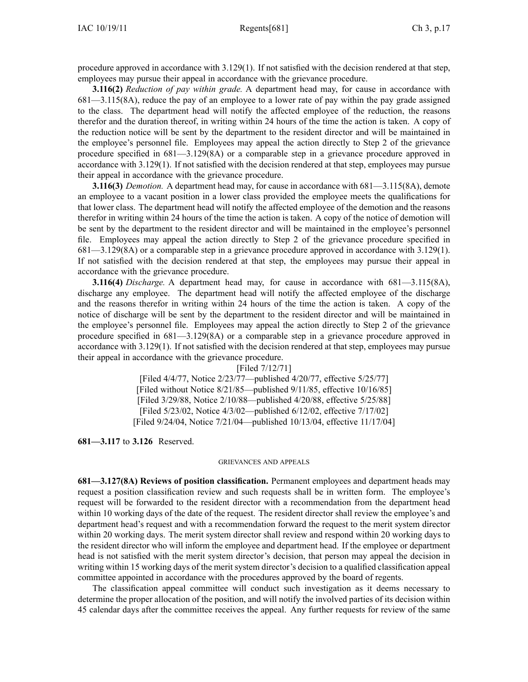procedure approved in accordance with 3.129(1). If not satisfied with the decision rendered at that step, employees may pursue their appeal in accordance with the grievance procedure.

**3.116(2)** *Reduction of pay within grade.* A department head may, for cause in accordance with 681—3.115(8A), reduce the pay of an employee to <sup>a</sup> lower rate of pay within the pay grade assigned to the class. The department head will notify the affected employee of the reduction, the reasons therefor and the duration thereof, in writing within 24 hours of the time the action is taken. A copy of the reduction notice will be sent by the department to the resident director and will be maintained in the employee's personnel file. Employees may appeal the action directly to Step 2 of the grievance procedure specified in 681—3.129(8A) or <sup>a</sup> comparable step in <sup>a</sup> grievance procedure approved in accordance with 3.129(1). If not satisfied with the decision rendered at that step, employees may pursue their appeal in accordance with the grievance procedure.

**3.116(3)** *Demotion.* A department head may, for cause in accordance with 681—3.115(8A), demote an employee to <sup>a</sup> vacant position in <sup>a</sup> lower class provided the employee meets the qualifications for that lower class. The department head will notify the affected employee of the demotion and the reasons therefor in writing within 24 hours of the time the action is taken. A copy of the notice of demotion will be sent by the department to the resident director and will be maintained in the employee's personnel file. Employees may appeal the action directly to Step 2 of the grievance procedure specified in 681—3.129(8A) or <sup>a</sup> comparable step in <sup>a</sup> grievance procedure approved in accordance with 3.129(1). If not satisfied with the decision rendered at that step, the employees may pursue their appeal in accordance with the grievance procedure.

**3.116(4)** *Discharge.* A department head may, for cause in accordance with 681—3.115(8A), discharge any employee. The department head will notify the affected employee of the discharge and the reasons therefor in writing within 24 hours of the time the action is taken. A copy of the notice of discharge will be sent by the department to the resident director and will be maintained in the employee's personnel file. Employees may appeal the action directly to Step 2 of the grievance procedure specified in 681—3.129(8A) or <sup>a</sup> comparable step in <sup>a</sup> grievance procedure approved in accordance with 3.129(1). If not satisfied with the decision rendered at that step, employees may pursue their appeal in accordance with the grievance procedure.

> [Filed 7/12/71] [Filed 4/4/77, Notice 2/23/77—published 4/20/77, effective 5/25/77] [Filed without Notice 8/21/85—published 9/11/85, effective 10/16/85] [Filed 3/29/88, Notice 2/10/88—published 4/20/88, effective 5/25/88] [Filed 5/23/02, Notice 4/3/02—published 6/12/02, effective 7/17/02] [Filed 9/24/04, Notice 7/21/04—published 10/13/04, effective 11/17/04]

**681—3.117** to **3.126** Reserved.

#### GRIEVANCES AND APPEALS

**681—3.127(8A) Reviews of position classification.** Permanent employees and department heads may reques<sup>t</sup> <sup>a</sup> position classification review and such requests shall be in written form. The employee's reques<sup>t</sup> will be forwarded to the resident director with <sup>a</sup> recommendation from the department head within 10 working days of the date of the request. The resident director shall review the employee's and department head's reques<sup>t</sup> and with <sup>a</sup> recommendation forward the reques<sup>t</sup> to the merit system director within 20 working days. The merit system director shall review and respond within 20 working days to the resident director who will inform the employee and department head. If the employee or department head is not satisfied with the merit system director's decision, that person may appeal the decision in writing within 15 working days of the merit system director's decision to <sup>a</sup> qualified classification appeal committee appointed in accordance with the procedures approved by the board of regents.

The classification appeal committee will conduct such investigation as it deems necessary to determine the proper allocation of the position, and will notify the involved parties of its decision within 45 calendar days after the committee receives the appeal. Any further requests for review of the same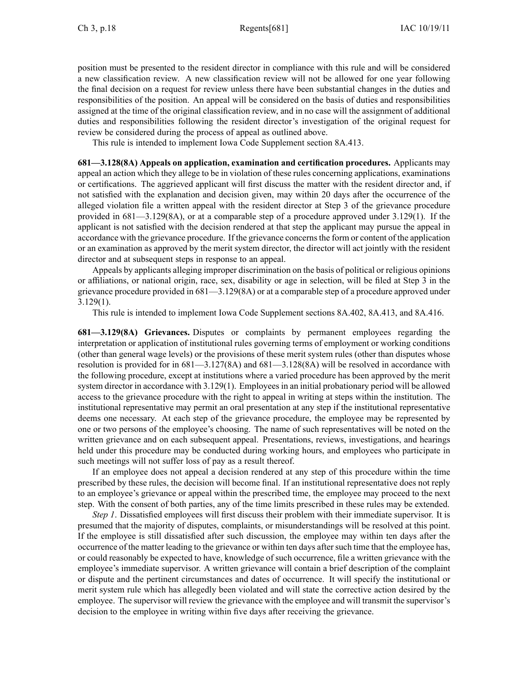position must be presented to the resident director in compliance with this rule and will be considered <sup>a</sup> new classification review. A new classification review will not be allowed for one year following the final decision on <sup>a</sup> reques<sup>t</sup> for review unless there have been substantial changes in the duties and responsibilities of the position. An appeal will be considered on the basis of duties and responsibilities assigned at the time of the original classification review, and in no case will the assignment of additional duties and responsibilities following the resident director's investigation of the original reques<sup>t</sup> for review be considered during the process of appeal as outlined above.

This rule is intended to implement Iowa Code Supplement section 8A.413.

**681—3.128(8A) Appeals on application, examination and certification procedures.** Applicants may appeal an action which they allege to be in violation of these rules concerning applications, examinations or certifications. The aggrieved applicant will first discuss the matter with the resident director and, if not satisfied with the explanation and decision given, may within 20 days after the occurrence of the alleged violation file <sup>a</sup> written appeal with the resident director at Step 3 of the grievance procedure provided in 681—3.129(8A), or at <sup>a</sup> comparable step of <sup>a</sup> procedure approved under 3.129(1). If the applicant is not satisfied with the decision rendered at that step the applicant may pursue the appeal in accordance with the grievance procedure. If the grievance concernsthe form or content of the application or an examination as approved by the merit system director, the director will act jointly with the resident director and at subsequent steps in response to an appeal.

Appeals by applicants alleging improper discrimination on the basis of political or religious opinions or affiliations, or national origin, race, sex, disability or age in selection, will be filed at Step 3 in the grievance procedure provided in 681—3.129(8A) or at <sup>a</sup> comparable step of <sup>a</sup> procedure approved under 3.129(1).

This rule is intended to implement Iowa Code Supplement sections 8A.402, 8A.413, and 8A.416.

**681—3.129(8A) Grievances.** Disputes or complaints by permanen<sup>t</sup> employees regarding the interpretation or application of institutional rules governing terms of employment or working conditions (other than general wage levels) or the provisions of these merit system rules (other than disputes whose resolution is provided for in 681—3.127(8A) and 681—3.128(8A) will be resolved in accordance with the following procedure, excep<sup>t</sup> at institutions where <sup>a</sup> varied procedure has been approved by the merit system director in accordance with 3.129(1). Employees in an initial probationary period will be allowed access to the grievance procedure with the right to appeal in writing at steps within the institution. The institutional representative may permit an oral presentation at any step if the institutional representative deems one necessary. At each step of the grievance procedure, the employee may be represented by one or two persons of the employee's choosing. The name of such representatives will be noted on the written grievance and on each subsequent appeal. Presentations, reviews, investigations, and hearings held under this procedure may be conducted during working hours, and employees who participate in such meetings will not suffer loss of pay as <sup>a</sup> result thereof.

If an employee does not appeal <sup>a</sup> decision rendered at any step of this procedure within the time prescribed by these rules, the decision will become final. If an institutional representative does not reply to an employee's grievance or appeal within the prescribed time, the employee may proceed to the next step. With the consent of both parties, any of the time limits prescribed in these rules may be extended.

*Step 1*. Dissatisfied employees will first discuss their problem with their immediate supervisor. It is presumed that the majority of disputes, complaints, or misunderstandings will be resolved at this point. If the employee is still dissatisfied after such discussion, the employee may within ten days after the occurrence of the matter leading to the grievance or within ten days after such time that the employee has, or could reasonably be expected to have, knowledge of such occurrence, file <sup>a</sup> written grievance with the employee's immediate supervisor. A written grievance will contain <sup>a</sup> brief description of the complaint or dispute and the pertinent circumstances and dates of occurrence. It will specify the institutional or merit system rule which has allegedly been violated and will state the corrective action desired by the employee. The supervisor will review the grievance with the employee and will transmit the supervisor's decision to the employee in writing within five days after receiving the grievance.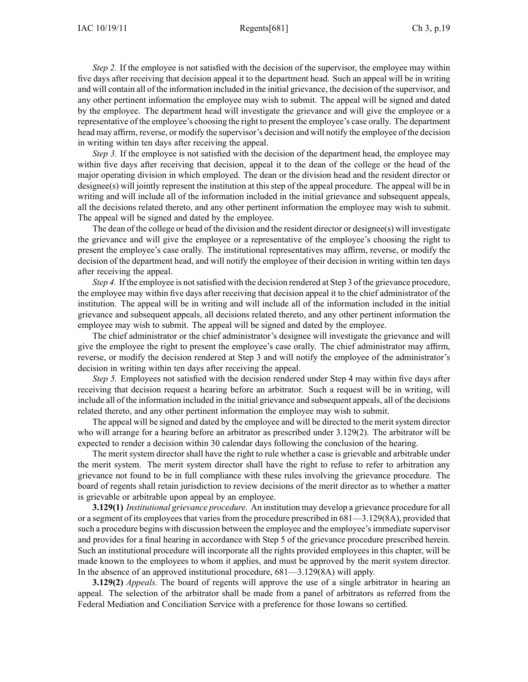*Step* 2. If the employee is not satisfied with the decision of the supervisor, the employee may within five days after receiving that decision appeal it to the department head. Such an appeal will be in writing and will contain all of the information included in the initial grievance, the decision of the supervisor, and any other pertinent information the employee may wish to submit. The appeal will be signed and dated by the employee. The department head will investigate the grievance and will give the employee or <sup>a</sup> representative of the employee's choosing the right to presen<sup>t</sup> the employee's case orally. The department head may affirm, reverse, or modify the supervisor's decision and will notify the employee of the decision in writing within ten days after receiving the appeal.

*Step* 3. If the employee is not satisfied with the decision of the department head, the employee may within five days after receiving that decision, appeal it to the dean of the college or the head of the major operating division in which employed. The dean or the division head and the resident director or designee(s) will jointly represen<sup>t</sup> the institution at this step of the appeal procedure. The appeal will be in writing and will include all of the information included in the initial grievance and subsequent appeals, all the decisions related thereto, and any other pertinent information the employee may wish to submit. The appeal will be signed and dated by the employee.

The dean of the college or head of the division and the resident director or designee(s) will investigate the grievance and will give the employee or <sup>a</sup> representative of the employee's choosing the right to presen<sup>t</sup> the employee's case orally. The institutional representatives may affirm, reverse, or modify the decision of the department head, and will notify the employee of their decision in writing within ten days after receiving the appeal.

*Step* 4. If the employee is not satisfied with the decision rendered at Step 3 of the grievance procedure, the employee may within five days after receiving that decision appeal it to the chief administrator of the institution. The appeal will be in writing and will include all of the information included in the initial grievance and subsequent appeals, all decisions related thereto, and any other pertinent information the employee may wish to submit. The appeal will be signed and dated by the employee.

The chief administrator or the chief administrator's designee will investigate the grievance and will give the employee the right to presen<sup>t</sup> the employee's case orally. The chief administrator may affirm, reverse, or modify the decision rendered at Step 3 and will notify the employee of the administrator's decision in writing within ten days after receiving the appeal.

*Step 5.* Employees not satisfied with the decision rendered under Step 4 may within five days after receiving that decision reques<sup>t</sup> <sup>a</sup> hearing before an arbitrator. Such <sup>a</sup> reques<sup>t</sup> will be in writing, will include all of the information included in the initial grievance and subsequent appeals, all of the decisions related thereto, and any other pertinent information the employee may wish to submit.

The appeal will be signed and dated by the employee and will be directed to the merit system director who will arrange for <sup>a</sup> hearing before an arbitrator as prescribed under 3.129(2). The arbitrator will be expected to render <sup>a</sup> decision within 30 calendar days following the conclusion of the hearing.

The merit system director shall have the right to rule whether <sup>a</sup> case is grievable and arbitrable under the merit system. The merit system director shall have the right to refuse to refer to arbitration any grievance not found to be in full compliance with these rules involving the grievance procedure. The board of regents shall retain jurisdiction to review decisions of the merit director as to whether <sup>a</sup> matter is grievable or arbitrable upon appeal by an employee.

**3.129(1)** *Institutional grievance procedure.* An institution may develop <sup>a</sup> grievance procedure for all or a segment of its employees that varies from the procedure prescribed in 681—3.129(8A), provided that such <sup>a</sup> procedure begins with discussion between the employee and the employee'simmediate supervisor and provides for <sup>a</sup> final hearing in accordance with Step 5 of the grievance procedure prescribed herein. Such an institutional procedure will incorporate all the rights provided employees in this chapter, will be made known to the employees to whom it applies, and must be approved by the merit system director. In the absence of an approved institutional procedure, 681—3.129(8A) will apply.

**3.129(2)** *Appeals.* The board of regents will approve the use of <sup>a</sup> single arbitrator in hearing an appeal. The selection of the arbitrator shall be made from <sup>a</sup> panel of arbitrators as referred from the Federal Mediation and Conciliation Service with <sup>a</sup> preference for those Iowans so certified.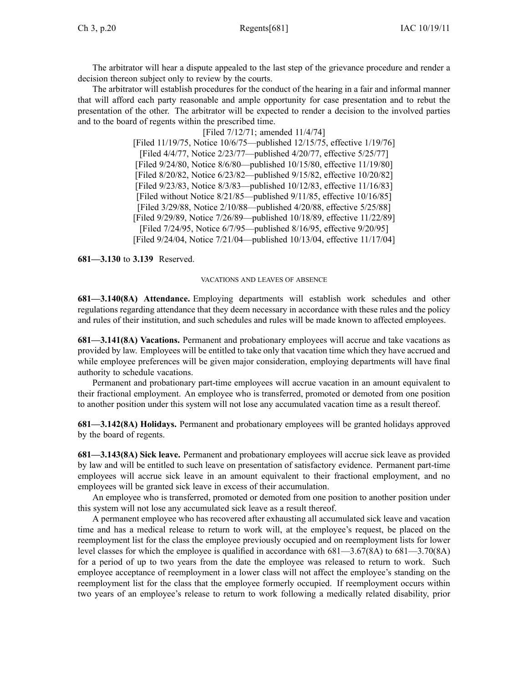The arbitrator will hear <sup>a</sup> dispute appealed to the last step of the grievance procedure and render <sup>a</sup> decision thereon subject only to review by the courts.

The arbitrator will establish procedures for the conduct of the hearing in <sup>a</sup> fair and informal manner that will afford each party reasonable and ample opportunity for case presentation and to rebut the presentation of the other. The arbitrator will be expected to render <sup>a</sup> decision to the involved parties and to the board of regents within the prescribed time.

> [Filed 7/12/71; amended 11/4/74] [Filed 11/19/75, Notice 10/6/75—published 12/15/75, effective 1/19/76] [Filed 4/4/77, Notice 2/23/77—published 4/20/77, effective 5/25/77] [Filed 9/24/80, Notice 8/6/80—published 10/15/80, effective 11/19/80] [Filed 8/20/82, Notice 6/23/82—published 9/15/82, effective 10/20/82] [Filed 9/23/83, Notice 8/3/83—published 10/12/83, effective 11/16/83] [Filed without Notice 8/21/85—published 9/11/85, effective 10/16/85] [Filed 3/29/88, Notice 2/10/88—published 4/20/88, effective 5/25/88] [Filed 9/29/89, Notice 7/26/89—published 10/18/89, effective 11/22/89] [Filed 7/24/95, Notice 6/7/95—published 8/16/95, effective 9/20/95] [Filed 9/24/04, Notice 7/21/04—published 10/13/04, effective 11/17/04]

**681—3.130** to **3.139** Reserved.

## VACATIONS AND LEAVES OF ABSENCE

**681—3.140(8A) Attendance.** Employing departments will establish work schedules and other regulations regarding attendance that they deem necessary in accordance with these rules and the policy and rules of their institution, and such schedules and rules will be made known to affected employees.

**681—3.141(8A) Vacations.** Permanent and probationary employees will accrue and take vacations as provided by law. Employees will be entitled to take only that vacation time which they have accrued and while employee preferences will be given major consideration, employing departments will have final authority to schedule vacations.

Permanent and probationary part-time employees will accrue vacation in an amount equivalent to their fractional employment. An employee who is transferred, promoted or demoted from one position to another position under this system will not lose any accumulated vacation time as <sup>a</sup> result thereof.

**681—3.142(8A) Holidays.** Permanent and probationary employees will be granted holidays approved by the board of regents.

**681—3.143(8A) Sick leave.** Permanent and probationary employees will accrue sick leave as provided by law and will be entitled to such leave on presentation of satisfactory evidence. Permanent part-time employees will accrue sick leave in an amount equivalent to their fractional employment, and no employees will be granted sick leave in excess of their accumulation.

An employee who is transferred, promoted or demoted from one position to another position under this system will not lose any accumulated sick leave as <sup>a</sup> result thereof.

A permanen<sup>t</sup> employee who has recovered after exhausting all accumulated sick leave and vacation time and has <sup>a</sup> medical release to return to work will, at the employee's request, be placed on the reemployment list for the class the employee previously occupied and on reemployment lists for lower level classes for which the employee is qualified in accordance with 681—3.67(8A) to 681—3.70(8A) for <sup>a</sup> period of up to two years from the date the employee was released to return to work. Such employee acceptance of reemployment in <sup>a</sup> lower class will not affect the employee's standing on the reemployment list for the class that the employee formerly occupied. If reemployment occurs within two years of an employee's release to return to work following <sup>a</sup> medically related disability, prior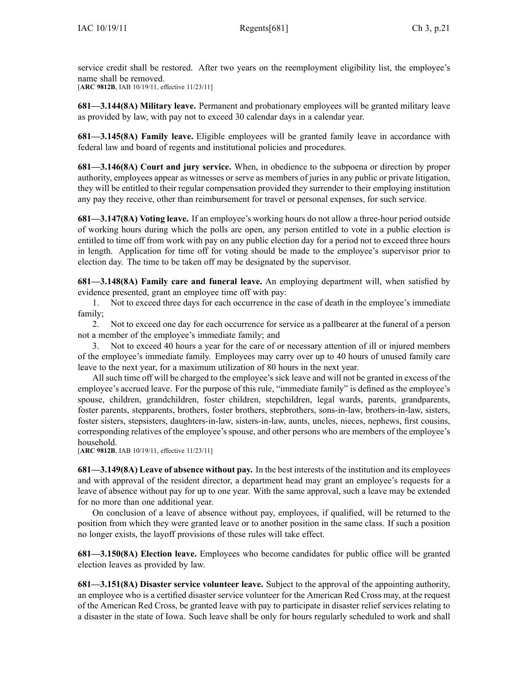service credit shall be restored. After two years on the reemployment eligibility list, the employee's name shall be removed. [**ARC 9812B**, IAB 10/19/11, effective 11/23/11]

**681—3.144(8A) Military leave.** Permanent and probationary employees will be granted military leave as provided by law, with pay not to exceed 30 calendar days in <sup>a</sup> calendar year.

**681—3.145(8A) Family leave.** Eligible employees will be granted family leave in accordance with federal law and board of regents and institutional policies and procedures.

**681—3.146(8A) Court and jury service.** When, in obedience to the subpoena or direction by proper authority, employees appear as witnesses or serve as members of juries in any public or private litigation, they will be entitled to their regular compensation provided they surrender to their employing institution any pay they receive, other than reimbursement for travel or personal expenses, for such service.

**681—3.147(8A) Voting leave.** If an employee's working hours do not allow <sup>a</sup> three-hour period outside of working hours during which the polls are open, any person entitled to vote in <sup>a</sup> public election is entitled to time off from work with pay on any public election day for <sup>a</sup> period not to exceed three hours in length. Application for time off for voting should be made to the employee's supervisor prior to election day. The time to be taken off may be designated by the supervisor.

**681—3.148(8A) Family care and funeral leave.** An employing department will, when satisfied by evidence presented, gran<sup>t</sup> an employee time off with pay:

1. Not to exceed three days for each occurrence in the case of death in the employee's immediate family;

2. Not to exceed one day for each occurrence for service as <sup>a</sup> pallbearer at the funeral of <sup>a</sup> person not <sup>a</sup> member of the employee's immediate family; and

3. Not to exceed 40 hours <sup>a</sup> year for the care of or necessary attention of ill or injured members of the employee's immediate family. Employees may carry over up to 40 hours of unused family care leave to the next year, for <sup>a</sup> maximum utilization of 80 hours in the next year.

All such time off will be charged to the employee's sick leave and will not be granted in excess of the employee's accrued leave. For the purpose of this rule, "immediate family" is defined as the employee's spouse, children, grandchildren, foster children, stepchildren, legal wards, parents, grandparents, foster parents, stepparents, brothers, foster brothers, stepbrothers, sons-in-law, brothers-in-law, sisters, foster sisters, stepsisters, daughters-in-law, sisters-in-law, aunts, uncles, nieces, nephews, first cousins, corresponding relatives of the employee's spouse, and other persons who are members of the employee's household.

[**ARC 9812B**, IAB 10/19/11, effective 11/23/11]

**681—3.149(8A) Leave of absence without pay.** In the best interests of the institution and its employees and with approval of the resident director, <sup>a</sup> department head may gran<sup>t</sup> an employee's requests for <sup>a</sup> leave of absence without pay for up to one year. With the same approval, such <sup>a</sup> leave may be extended for no more than one additional year.

On conclusion of <sup>a</sup> leave of absence without pay, employees, if qualified, will be returned to the position from which they were granted leave or to another position in the same class. If such <sup>a</sup> position no longer exists, the layoff provisions of these rules will take effect.

**681—3.150(8A) Election leave.** Employees who become candidates for public office will be granted election leaves as provided by law.

**681—3.151(8A) Disaster service volunteer leave.** Subject to the approval of the appointing authority, an employee who is <sup>a</sup> certified disaster service volunteer for the American Red Cross may, at the reques<sup>t</sup> of the American Red Cross, be granted leave with pay to participate in disaster relief services relating to <sup>a</sup> disaster in the state of Iowa. Such leave shall be only for hours regularly scheduled to work and shall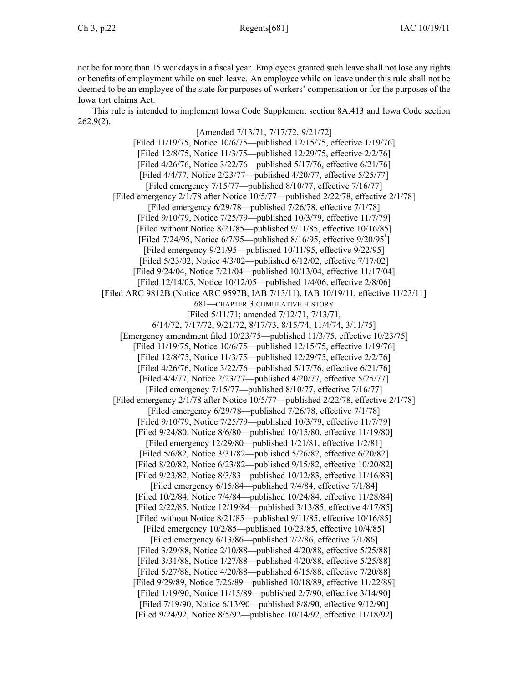not be for more than 15 workdays in <sup>a</sup> fiscal year. Employees granted such leave shall not lose any rights or benefits of employment while on such leave. An employee while on leave under this rule shall not be deemed to be an employee of the state for purposes of workers' compensation or for the purposes of the Iowa tort claims Act.

This rule is intended to implement Iowa Code Supplement section 8A.413 and Iowa Code section 262.9(2).

[Amended 7/13/71, 7/17/72, 9/21/72] [Filed 11/19/75, Notice 10/6/75—published 12/15/75, effective 1/19/76] [Filed 12/8/75, Notice 11/3/75—published 12/29/75, effective 2/2/76] [Filed 4/26/76, Notice 3/22/76—published 5/17/76, effective 6/21/76] [Filed 4/4/77, Notice 2/23/77—published 4/20/77, effective 5/25/77] [Filed emergency 7/15/77—published 8/10/77, effective 7/16/77] [Filed emergency 2/1/78 after Notice 10/5/77—published 2/22/78, effective 2/1/78] [Filed emergency 6/29/78—published 7/26/78, effective 7/1/78] [Filed 9/10/79, Notice 7/25/79—published 10/3/79, effective 11/7/79] [Filed without Notice 8/21/85—published 9/11/85, effective 10/16/85] [Filed  $7/24/95$ , Notice  $6/7/95$ —published  $8/16/95$ , effective  $9/20/95<sup>1</sup>$ [Filed emergency 9/21/95—published 10/11/95, effective 9/22/95] [Filed 5/23/02, Notice 4/3/02—published 6/12/02, effective 7/17/02] [Filed 9/24/04, Notice 7/21/04—published 10/13/04, effective 11/17/04] [Filed 12/14/05, Notice 10/12/05—published 1/4/06, effective 2/8/06] [Filed ARC 9812B (Notice ARC 9597B, IAB 7/13/11), IAB 10/19/11, effective 11/23/11] 681—CHAPTER 3 CUMULATIVE HISTORY [Filed 5/11/71; amended 7/12/71, 7/13/71, 6/14/72, 7/17/72, 9/21/72, 8/17/73, 8/15/74, 11/4/74, 3/11/75] [Emergency amendment filed 10/23/75—published 11/3/75, effective 10/23/75] [Filed 11/19/75, Notice 10/6/75—published 12/15/75, effective 1/19/76] [Filed 12/8/75, Notice 11/3/75—published 12/29/75, effective 2/2/76] [Filed 4/26/76, Notice 3/22/76—published 5/17/76, effective 6/21/76] [Filed 4/4/77, Notice 2/23/77—published 4/20/77, effective 5/25/77] [Filed emergency 7/15/77—published 8/10/77, effective 7/16/77] [Filed emergency 2/1/78 after Notice 10/5/77—published 2/22/78, effective 2/1/78] [Filed emergency 6/29/78—published 7/26/78, effective 7/1/78] [Filed 9/10/79, Notice 7/25/79—published 10/3/79, effective 11/7/79] [Filed 9/24/80, Notice 8/6/80—published 10/15/80, effective 11/19/80] [Filed emergency 12/29/80—published 1/21/81, effective 1/2/81] [Filed 5/6/82, Notice 3/31/82—published 5/26/82, effective 6/20/82] [Filed 8/20/82, Notice 6/23/82—published 9/15/82, effective 10/20/82] [Filed 9/23/82, Notice 8/3/83—published 10/12/83, effective 11/16/83] [Filed emergency 6/15/84—published 7/4/84, effective 7/1/84] [Filed 10/2/84, Notice 7/4/84—published 10/24/84, effective 11/28/84] [Filed 2/22/85, Notice 12/19/84—published 3/13/85, effective 4/17/85] [Filed without Notice 8/21/85—published 9/11/85, effective 10/16/85] [Filed emergency 10/2/85—published 10/23/85, effective 10/4/85] [Filed emergency 6/13/86—published 7/2/86, effective 7/1/86] [Filed 3/29/88, Notice 2/10/88—published 4/20/88, effective 5/25/88] [Filed 3/31/88, Notice 1/27/88—published 4/20/88, effective 5/25/88] [Filed 5/27/88, Notice 4/20/88—published 6/15/88, effective 7/20/88] [Filed 9/29/89, Notice 7/26/89—published 10/18/89, effective 11/22/89] [Filed 1/19/90, Notice 11/15/89—published 2/7/90, effective 3/14/90] [Filed 7/19/90, Notice 6/13/90—published 8/8/90, effective 9/12/90] [Filed 9/24/92, Notice 8/5/92—published 10/14/92, effective 11/18/92]